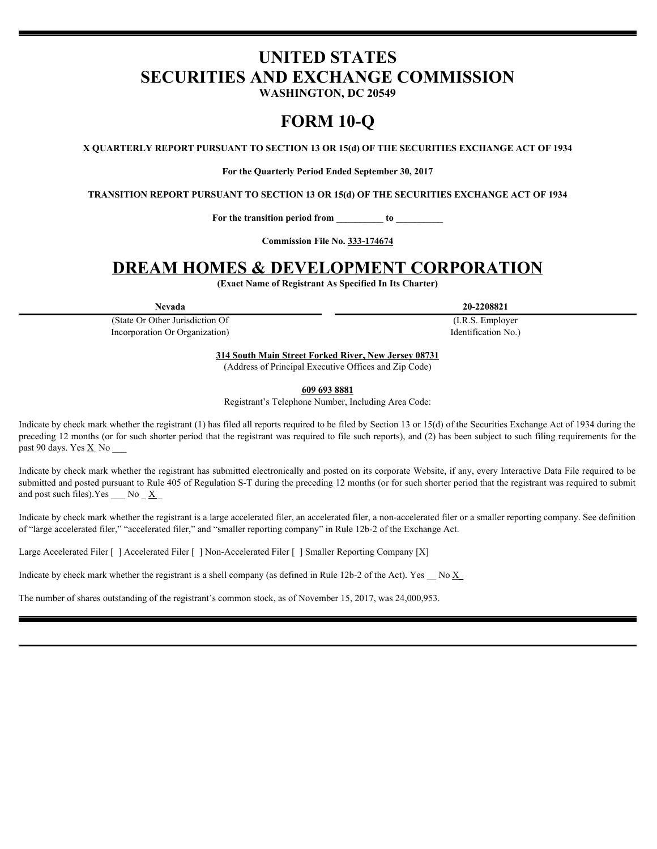# **UNITED STATES SECURITIES AND EXCHANGE COMMISSION**

**WASHINGTON, DC 20549**

# **FORM 10-Q**

**X QUARTERLY REPORT PURSUANT TO SECTION 13 OR 15(d) OF THE SECURITIES EXCHANGE ACT OF 1934**

**For the Quarterly Period Ended September 30, 2017**

**TRANSITION REPORT PURSUANT TO SECTION 13 OR 15(d) OF THE SECURITIES EXCHANGE ACT OF 1934**

**For the transition period from \_\_\_\_\_\_\_\_\_\_ to \_\_\_\_\_\_\_\_\_\_**

**Commission File No. 333-174674**

# **DREAM HOMES & DEVELOPMENT CORPORATION**

**(Exact Name of Registrant As Specified In Its Charter)**

(State Or Other Jurisdiction Of Incorporation Or Organization)

**Nevada 20-2208821**

(I.R.S. Employer Identification No.)

**314 South Main Street Forked River, New Jersey 08731**

(Address of Principal Executive Offices and Zip Code)

**609 693 8881**

Registrant's Telephone Number, Including Area Code:

Indicate by check mark whether the registrant (1) has filed all reports required to be filed by Section 13 or 15(d) of the Securities Exchange Act of 1934 during the preceding 12 months (or for such shorter period that the registrant was required to file such reports), and (2) has been subject to such filing requirements for the past 90 days. Yes  $\underline{X}$  No  $\underline{\phantom{X}}$ 

Indicate by check mark whether the registrant has submitted electronically and posted on its corporate Website, if any, every Interactive Data File required to be submitted and posted pursuant to Rule 405 of Regulation S-T during the preceding 12 months (or for such shorter period that the registrant was required to submit and post such files). Yes  $\_\_$  No  $\_\underline{X}$ 

Indicate by check mark whether the registrant is a large accelerated filer, an accelerated filer, a non-accelerated filer or a smaller reporting company. See definition of "large accelerated filer," "accelerated filer," and "smaller reporting company" in Rule 12b-2 of the Exchange Act.

Large Accelerated Filer [ ] Accelerated Filer [ ] Non-Accelerated Filer [ ] Smaller Reporting Company [X]

Indicate by check mark whether the registrant is a shell company (as defined in Rule 12b-2 of the Act). Yes  $\overline{N_0 X}$ 

The number of shares outstanding of the registrant's common stock, as of November 15, 2017, was 24,000,953.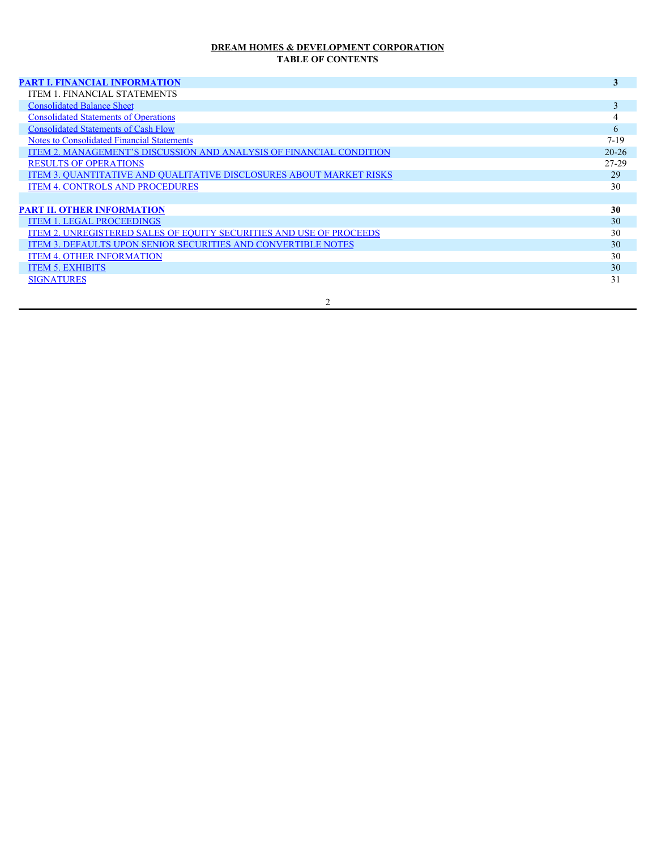# **DREAM HOMES & DEVELOPMENT CORPORATION TABLE OF CONTENTS**

| <b>PART I. FINANCIAL INFORMATION</b>                                | 3 <sup>1</sup> |
|---------------------------------------------------------------------|----------------|
| ITEM 1. FINANCIAL STATEMENTS                                        |                |
| <b>Consolidated Balance Sheet</b>                                   | 3              |
| <b>Consolidated Statements of Operations</b>                        |                |
| <b>Consolidated Statements of Cash Flow</b>                         | 6              |
| <b>Notes to Consolidated Financial Statements</b>                   | $7-19$         |
| ITEM 2. MANAGEMENT'S DISCUSSION AND ANALYSIS OF FINANCIAL CONDITION | $20 - 26$      |
| <b>RESULTS OF OPERATIONS</b>                                        | 27-29          |
| ITEM 3. QUANTITATIVE AND QUALITATIVE DISCLOSURES ABOUT MARKET RISKS | 29             |
| <b>ITEM 4. CONTROLS AND PROCEDURES</b>                              | 30             |
|                                                                     |                |
| <b>PART II. OTHER INFORMATION</b>                                   | 30             |
| <b>ITEM 1. LEGAL PROCEEDINGS</b>                                    | 30             |
| ITEM 2. UNREGISTERED SALES OF EQUITY SECURITIES AND USE OF PROCEEDS | 30             |
| ITEM 3. DEFAULTS UPON SENIOR SECURITIES AND CONVERTIBLE NOTES       | 30             |
| <b>ITEM 4. OTHER INFORMATION</b>                                    | 30             |
| <b>ITEM 5. EXHIBITS</b>                                             | 30             |
| <b>SIGNATURES</b>                                                   | 31             |
|                                                                     |                |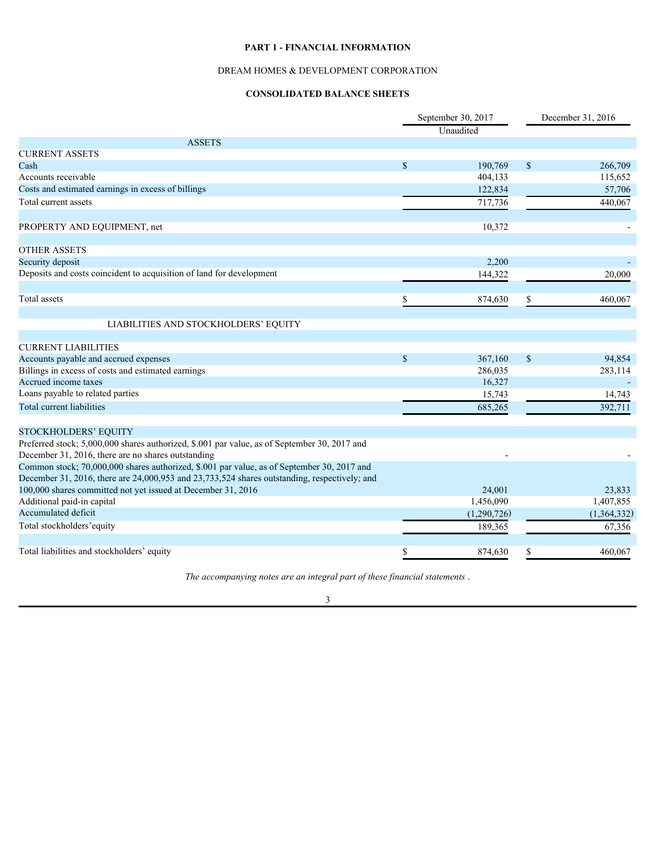# **PART 1 - FINANCIAL INFORMATION**

# DREAM HOMES & DEVELOPMENT CORPORATION

# **CONSOLIDATED BALANCE SHEETS**

<span id="page-2-1"></span><span id="page-2-0"></span>

|                                                                                              |              | September 30, 2017<br>Unaudited |             | December 31, 2016 |
|----------------------------------------------------------------------------------------------|--------------|---------------------------------|-------------|-------------------|
| <b>ASSETS</b>                                                                                |              |                                 |             |                   |
| <b>CURRENT ASSETS</b>                                                                        |              |                                 |             |                   |
| Cash                                                                                         | $\mathbf S$  | 190,769                         | $\mathbf S$ | 266,709           |
| Accounts receivable                                                                          |              | 404,133                         |             | 115,652           |
| Costs and estimated earnings in excess of billings                                           |              | 122,834                         |             | 57,706            |
| Total current assets                                                                         |              | 717,736                         |             | 440,067           |
| PROPERTY AND EQUIPMENT, net                                                                  |              | 10,372                          |             |                   |
| <b>OTHER ASSETS</b>                                                                          |              |                                 |             |                   |
| Security deposit                                                                             |              | 2,200                           |             |                   |
| Deposits and costs coincident to acquisition of land for development                         |              | 144,322                         |             | 20,000            |
| Total assets                                                                                 |              | 874,630                         |             | 460,067           |
| LIABILITIES AND STOCKHOLDERS' EQUITY                                                         |              |                                 |             |                   |
| <b>CURRENT LIABILITIES</b>                                                                   |              |                                 |             |                   |
| Accounts payable and accrued expenses                                                        | <sup>S</sup> | 367,160                         | $\mathbf S$ | 94,854            |
| Billings in excess of costs and estimated earnings                                           |              | 286,035                         |             | 283,114           |
| Accrued income taxes                                                                         |              | 16,327                          |             |                   |
| Loans payable to related parties                                                             |              | 15,743                          |             | 14,743            |
| <b>Total current liabilities</b>                                                             |              | 685,265                         |             | 392,711           |
| STOCKHOLDERS' EQUITY                                                                         |              |                                 |             |                   |
| Preferred stock; 5,000,000 shares authorized, \$.001 par value, as of September 30, 2017 and |              |                                 |             |                   |
| December 31, 2016, there are no shares outstanding                                           |              |                                 |             |                   |
| Common stock; 70,000,000 shares authorized, \$.001 par value, as of September 30, 2017 and   |              |                                 |             |                   |
| December 31, 2016, there are 24,000,953 and 23,733,524 shares outstanding, respectively; and |              |                                 |             |                   |
| 100,000 shares committed not yet issued at December 31, 2016                                 |              | 24,001                          |             | 23,833            |
| Additional paid-in capital                                                                   |              | 1,456,090                       |             | 1,407,855         |
| Accumulated deficit                                                                          |              | (1,290,726)                     |             | (1,364,332)       |
| Total stockholders' equity                                                                   |              | 189,365                         |             | 67,356            |
| Total liabilities and stockholders' equity                                                   |              | 874,630                         |             | 460.067           |

*The accompanying notes are an integral part of these financial statements* .

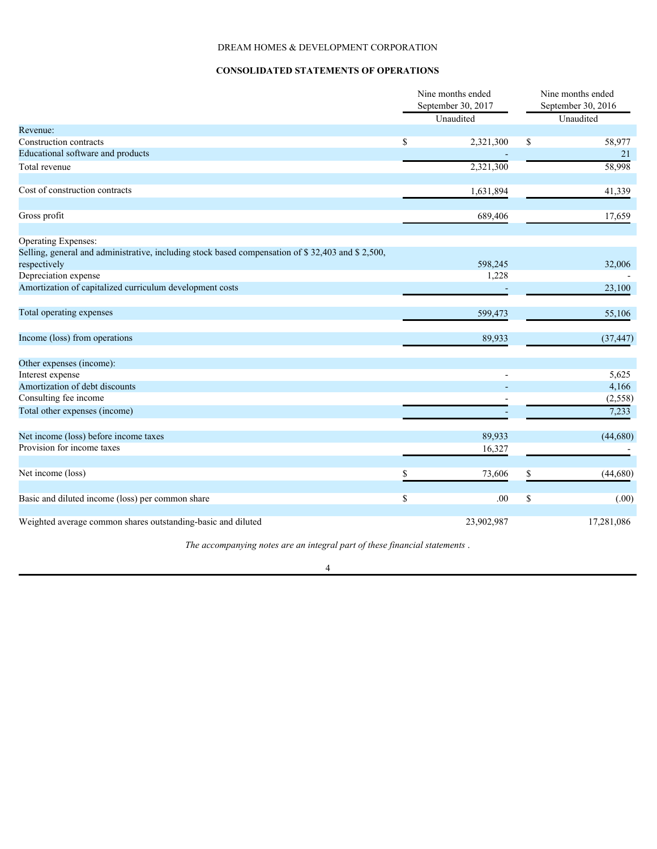# **CONSOLIDATED STATEMENTS OF OPERATIONS**

<span id="page-3-0"></span>

|                                                                                                  | Nine months ended<br>September 30, 2017<br>Unaudited |    | Nine months ended<br>September 30, 2016<br>Unaudited |
|--------------------------------------------------------------------------------------------------|------------------------------------------------------|----|------------------------------------------------------|
| Revenue:                                                                                         |                                                      |    |                                                      |
| Construction contracts                                                                           | \$<br>2,321,300                                      | \$ | 58,977                                               |
| Educational software and products                                                                |                                                      |    | 21                                                   |
| Total revenue                                                                                    | 2,321,300                                            |    | 58,998                                               |
| Cost of construction contracts                                                                   | 1,631,894                                            |    | 41,339                                               |
| Gross profit                                                                                     | 689,406                                              |    | 17,659                                               |
| Operating Expenses:                                                                              |                                                      |    |                                                      |
| Selling, general and administrative, including stock based compensation of \$32,403 and \$2,500, |                                                      |    |                                                      |
| respectively                                                                                     | 598,245                                              |    | 32,006                                               |
| Depreciation expense                                                                             | 1,228                                                |    |                                                      |
| Amortization of capitalized curriculum development costs                                         |                                                      |    | 23,100                                               |
|                                                                                                  |                                                      |    |                                                      |
| Total operating expenses                                                                         | 599,473                                              |    | 55,106                                               |
| Income (loss) from operations                                                                    | 89,933                                               |    | (37, 447)                                            |
| Other expenses (income):                                                                         |                                                      |    |                                                      |
| Interest expense                                                                                 |                                                      |    | 5,625                                                |
| Amortization of debt discounts                                                                   |                                                      |    | 4,166                                                |
| Consulting fee income                                                                            |                                                      |    | (2, 558)                                             |
| Total other expenses (income)                                                                    |                                                      |    | 7,233                                                |
| Net income (loss) before income taxes                                                            | 89,933                                               |    | (44,680)                                             |
| Provision for income taxes                                                                       | 16,327                                               |    |                                                      |
| Net income (loss)                                                                                | 73,606                                               | S  | (44, 680)                                            |
|                                                                                                  |                                                      |    |                                                      |
| Basic and diluted income (loss) per common share                                                 | \$<br>.00                                            | \$ | (.00)                                                |
| Weighted average common shares outstanding-basic and diluted                                     | 23,902,987                                           |    | 17,281,086                                           |
|                                                                                                  |                                                      |    |                                                      |

*The accompanying notes are an integral part of these financial statements* .

4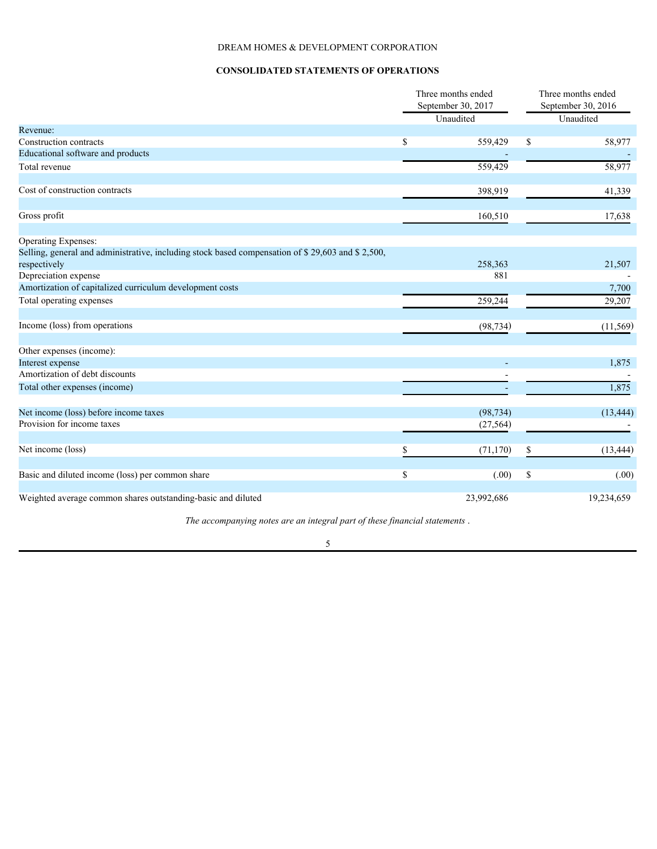# **CONSOLIDATED STATEMENTS OF OPERATIONS**

| September 30, 2017<br>September 30, 2016                                                                                    |            |
|-----------------------------------------------------------------------------------------------------------------------------|------------|
| Unaudited<br>Unaudited                                                                                                      |            |
| Revenue:                                                                                                                    |            |
| 559,429<br>$\mathbb S$<br>Construction contracts<br>\$                                                                      | 58,977     |
| Educational software and products                                                                                           |            |
| 559,429<br>Total revenue                                                                                                    | 58,977     |
| Cost of construction contracts<br>398,919                                                                                   | 41,339     |
| Gross profit<br>160,510                                                                                                     | 17,638     |
| Operating Expenses:                                                                                                         |            |
| Selling, general and administrative, including stock based compensation of \$29,603 and \$2,500,<br>258,363<br>respectively | 21,507     |
| Depreciation expense<br>881                                                                                                 |            |
| Amortization of capitalized curriculum development costs                                                                    | 7,700      |
| Total operating expenses<br>259,244                                                                                         | 29,207     |
| Income (loss) from operations<br>(98, 734)                                                                                  | (11, 569)  |
| Other expenses (income):                                                                                                    |            |
| Interest expense                                                                                                            | 1,875      |
| Amortization of debt discounts                                                                                              |            |
| Total other expenses (income)                                                                                               | 1,875      |
| Net income (loss) before income taxes<br>(98, 734)                                                                          | (13, 444)  |
| Provision for income taxes<br>(27, 564)                                                                                     |            |
| Net income (loss)<br>(71, 170)<br><sup>\$</sup>                                                                             | (13, 444)  |
| \$<br>Basic and diluted income (loss) per common share<br>(.00)<br>-S                                                       | (.00)      |
| Weighted average common shares outstanding-basic and diluted<br>23,992,686                                                  | 19,234,659 |

*The accompanying notes are an integral part of these financial statements* .

5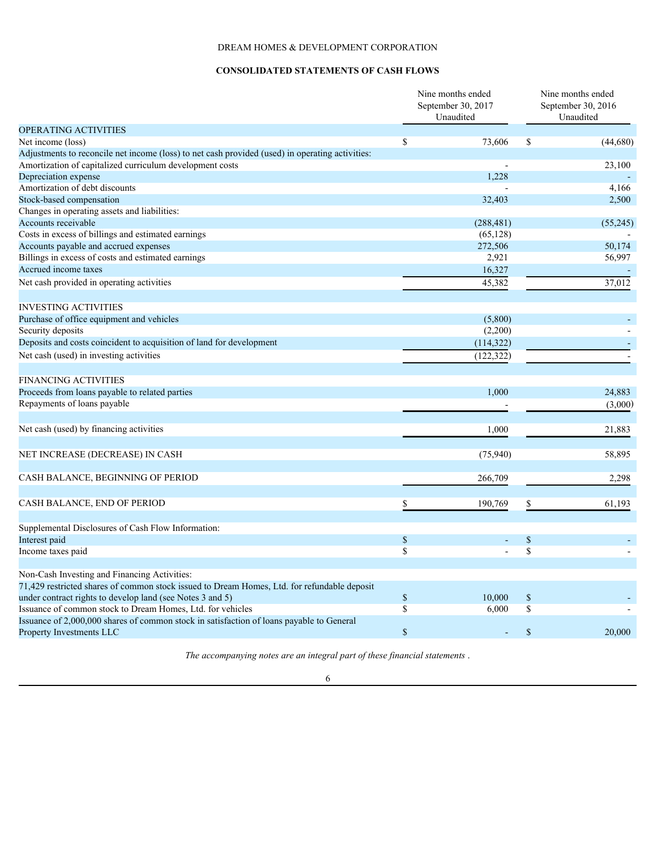# **CONSOLIDATED STATEMENTS OF CASH FLOWS**

<span id="page-5-0"></span>

|                                                                                                 |              | Nine months ended<br>September 30, 2017<br>Unaudited |                           | Nine months ended<br>September 30, 2016<br>Unaudited |
|-------------------------------------------------------------------------------------------------|--------------|------------------------------------------------------|---------------------------|------------------------------------------------------|
| OPERATING ACTIVITIES                                                                            |              |                                                      |                           |                                                      |
| Net income (loss)                                                                               | \$           | 73,606                                               | <sup>\$</sup>             | (44, 680)                                            |
| Adjustments to reconcile net income (loss) to net cash provided (used) in operating activities: |              |                                                      |                           |                                                      |
| Amortization of capitalized curriculum development costs                                        |              |                                                      |                           | 23,100                                               |
| Depreciation expense                                                                            |              | 1,228                                                |                           |                                                      |
| Amortization of debt discounts                                                                  |              |                                                      |                           | 4,166                                                |
| Stock-based compensation                                                                        |              | 32,403                                               |                           | 2,500                                                |
| Changes in operating assets and liabilities:                                                    |              |                                                      |                           |                                                      |
| Accounts receivable                                                                             |              | (288, 481)                                           |                           | (55, 245)                                            |
| Costs in excess of billings and estimated earnings                                              |              | (65, 128)                                            |                           |                                                      |
| Accounts payable and accrued expenses                                                           |              | 272,506                                              |                           | 50,174                                               |
| Billings in excess of costs and estimated earnings                                              |              | 2,921                                                |                           | 56,997                                               |
| Accrued income taxes                                                                            |              | 16,327                                               |                           |                                                      |
| Net cash provided in operating activities                                                       |              | 45,382                                               |                           | 37,012                                               |
|                                                                                                 |              |                                                      |                           |                                                      |
| <b>INVESTING ACTIVITIES</b>                                                                     |              |                                                      |                           |                                                      |
| Purchase of office equipment and vehicles                                                       |              | (5,800)                                              |                           |                                                      |
| Security deposits                                                                               |              | (2,200)                                              |                           |                                                      |
| Deposits and costs coincident to acquisition of land for development                            |              | (114,322)                                            |                           |                                                      |
| Net cash (used) in investing activities                                                         |              | (122, 322)                                           |                           |                                                      |
|                                                                                                 |              |                                                      |                           |                                                      |
| <b>FINANCING ACTIVITIES</b>                                                                     |              |                                                      |                           |                                                      |
| Proceeds from loans payable to related parties                                                  |              | 1,000                                                |                           | 24,883                                               |
| Repayments of loans payable                                                                     |              |                                                      |                           | (3,000)                                              |
|                                                                                                 |              |                                                      |                           |                                                      |
| Net cash (used) by financing activities                                                         |              | 1,000                                                |                           | 21,883                                               |
|                                                                                                 |              |                                                      |                           |                                                      |
|                                                                                                 |              |                                                      |                           | 58,895                                               |
| NET INCREASE (DECREASE) IN CASH                                                                 |              | (75, 940)                                            |                           |                                                      |
| CASH BALANCE, BEGINNING OF PERIOD                                                               |              |                                                      |                           |                                                      |
|                                                                                                 |              | 266,709                                              |                           | 2,298                                                |
|                                                                                                 |              |                                                      |                           |                                                      |
| CASH BALANCE, END OF PERIOD                                                                     |              | 190,769                                              | S.                        | 61,193                                               |
|                                                                                                 |              |                                                      |                           |                                                      |
| Supplemental Disclosures of Cash Flow Information:                                              |              |                                                      |                           |                                                      |
| Interest paid                                                                                   | \$<br>\$     |                                                      | $\boldsymbol{\mathsf{S}}$ |                                                      |
| Income taxes paid                                                                               |              |                                                      | $\mathbb{S}$              |                                                      |
| Non-Cash Investing and Financing Activities:                                                    |              |                                                      |                           |                                                      |
| 71,429 restricted shares of common stock issued to Dream Homes, Ltd. for refundable deposit     |              |                                                      |                           |                                                      |
| under contract rights to develop land (see Notes 3 and 5)                                       | $\mathbb{S}$ | 10,000                                               | $\sqrt{\ }$               |                                                      |
| Issuance of common stock to Dream Homes, Ltd. for vehicles                                      | \$           | 6,000                                                | $\mathbb{S}$              |                                                      |
| Issuance of 2,000,000 shares of common stock in satisfaction of loans payable to General        |              |                                                      |                           |                                                      |
|                                                                                                 | $\mathbf S$  |                                                      |                           | 20,000                                               |
| Property Investments LLC                                                                        |              |                                                      | $\boldsymbol{\mathsf{S}}$ |                                                      |

*The accompanying notes are an integral part of these financial statements* .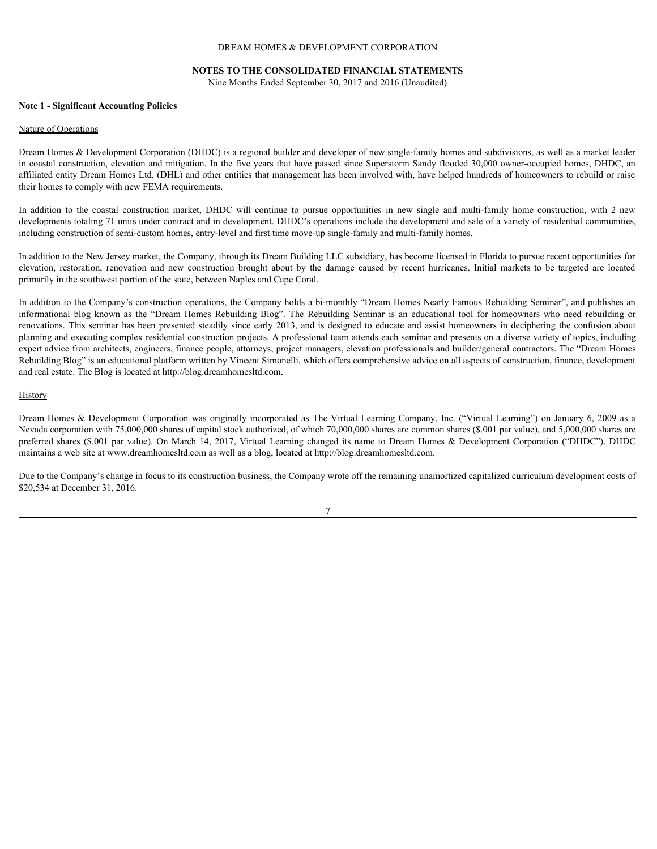#### **NOTES TO THE CONSOLIDATED FINANCIAL STATEMENTS**

Nine Months Ended September 30, 2017 and 2016 (Unaudited)

#### <span id="page-6-0"></span>**Note 1 - Significant Accounting Policies**

#### Nature of Operations

Dream Homes & Development Corporation (DHDC) is a regional builder and developer of new single-family homes and subdivisions, as well as a market leader in coastal construction, elevation and mitigation. In the five years that have passed since Superstorm Sandy flooded 30,000 owner-occupied homes, DHDC, an affiliated entity Dream Homes Ltd. (DHL) and other entities that management has been involved with, have helped hundreds of homeowners to rebuild or raise their homes to comply with new FEMA requirements. IDELO PMENT CORPORATION<br>
NOTES TO THE CONSOLIDATED FINANCIAL STATEMENTS<br>
Note 1 - Significant Accounting Policies<br>
Nature of Operations<br>
Note 1 - Significant Accounting Policies<br>
Nature of Operations<br>
Dream Homes & Develop

developments totaling 71 units under contract and in development. DHDC's operations include the development and sale of a variety of residential communities, including construction of semi-custom homes, entry-level and first time move-up single-family and multi-family homes.

In addition to the New Jersey market, the Company, through its Dream Building LLC subsidiary, has become licensed in Florida to pursue recent opportunities for primarily in the southwest portion of the state, between Naples and Cape Coral.

Electa HOMES & DEVELOPMENT CORPORATION<br>
Note 1 - Significant Accounting Policies<br>
Note Months Ended September 30, 2017 and 2016 (Unaudited)<br>
Dream Homes & Development Corporation (DHDC) is a regional huilder and developer In addition to the Company's construction operations, the Company holds a bi-monthly "Dream Homes Nearly Famous Rebuilding Seminar", and publishes an DREAM HOMES & DEVELOPMENT CORPORATION<br>
Note 1 - Significant Accounting Policies<br>
Note 1 - Significant Accounting Policies<br>
Note the five help is realistic and are injection to the rice years be rice and according to the s DREAM HOMES & DEVELOPMENT CORPORATION<br>
Note 1 - Significant Accounting Pulleirs<br>
Note has been presented to the seminar has been presented in the following of the seminar has been presented in the seminar has been present planning and executing complex residential construction projects. A professional team attends each seminar and presents on a diverse variety of topics, including expert advice from architects, engineers, finance people, attorneys, project managers, elevation professionals and builder/general contractors. The "Dream Homes Rebuilding Blog" is an educational platform written by Vincent Simonelli, which offers comprehensive advice on all aspects of construction, finance, development and real estate. The Blog is located at http://blog.dreamhomesltd.com. Note 1 - Significant Accounting Policies<br>
Note 2 - Significant Accounting Policies<br>
Name of Operations<br>
Name of Operations<br>
Name of Operations<br>
Name of Operations<br>
Dream Homes & Development Corporation (DHIX) is a regional

## History

Nevada corporation with 75,000,000 shares of capital stock authorized, of which 70,000,000 shares are common shares (\$.001 par value), and 5,000,000 shares are preferred shares (\$.001 par value). On March 14, 2017, Virtual Learning changed its name to Dream Homes & Development Corporation ("DHDC"). DHDC maintains a web site at www.dreamhomesltd.com as well as a blog, located at http://blog.dreamhomesltd.com.

Due to the Company's change in focus to its construction business, the Company wrote off the remaining unamortized capitalized curriculum development costs of \$20,534 at December 31, 2016.

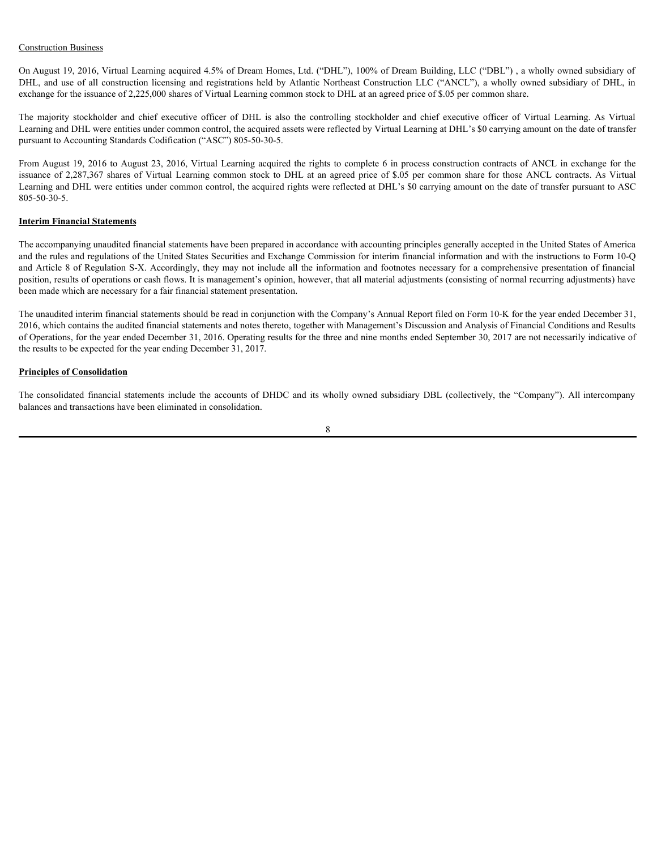# Construction Business

On August 19, 2016, Virtual Learning acquired 4.5% of Dream Homes, Ltd. ("DHL"), 100% of Dream Building, LLC ("DBL") , a wholly owned subsidiary of Construction Business<br>On August 19, 2016, Virtual Learning acquired 4.5% of Dream Homes, Ltd. ("DHL"), 100% of Dream Building, LLC ("DBL"), a wholly owned subsidiary of<br>DHL, and use of all construction licensing and regist exchange for the issuance of 2,225,000 shares of Virtual Learning common stock to DHL at an agreed price of \$.05 per common share.

Learning and DHL were entities under common control, the acquired assets were reflected by Virtual Learning at DHL's \$0 carrying amount on the date of transfer pursuant to Accounting Standards Codification ("ASC") 805-50-30-5.

Construction Business<br>On August 19, 2016, Virtual Learning acquired 4.5% of Dream Homes, Ltd. ("DHL"), 100% of Dream Building, LLC ("DBL"), a wholly owned subsidiary of<br>DHL, and use of all construction licensing and regist From August 19, 2016 to August 23, 2016, Virtual Learning acquired the rights to complete 6 in process construction contracts of ANCL in exchange for the Construction Business<br>
On August 19, 2016, Virtual Learning acquired 4.5% of Dream Homes, Ltd. ("DHL"), 100% of Dream Building, LLC ("DBL"), a wholly owned subsidiary of<br>
DHL, and use of all construction licensing and regi Learning and DHL were entities under common control, the acquired rights were reflected at DHL's \$0 carrying amount on the date of transfer pursuant to ASC 805-50-30-5.

## **Interim Financial Statements**

The accompanying unaudited financial statements have been prepared in accordance with accounting principles generally accepted in the United States of America and the rules and regulations of the United States Securities and Exchange Commission for interim financial information and with the instructions to Form 10-Q and Article 8 of Regulation S-X. Accordingly, they may not include all the information and footnotes necessary for a comprehensive presentation of financial position, results of operations or cash flows. It is management's opinion, however, that all material adjustments (consisting of normal recurring adjustments) have been made which are necessary for a fair financial statement presentation. Controction Businest<br>On August 19, 2016, Virtual Learning arequired 4:5% of Detain Bones, Ltd. (DBL"), 100% of Detain Bulding, LLC ("DANL"), a which yound subsidiary of<br>On August 1916. When I consider a statement when the

The unaudited interim financial statements should be read in conjunction with the Company's Annual Report filed on Form 10-K for the year ended December 31, 2016, which contains the audited financial statements and notes thereto, together with Management's Discussion and Analysis of Financial Conditions and Results of Operations, for the year ended December 31, 2016. Operating results for the three and nine months ended September 30, 2017 are not necessarily indicative of the results to be expected for the year ending December 31, 2017.

# **Principles of Consolidation**

balances and transactions have been eliminated in consolidation.

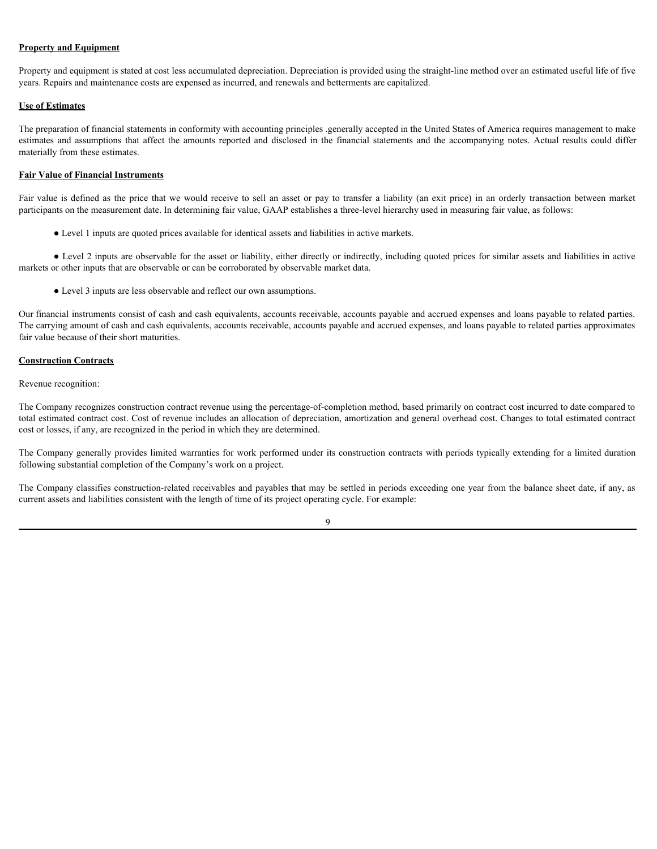# **Property and Equipment**

Property and equipment is stated at cost less accumulated depreciation. Depreciation is provided using the straight-line method over an estimated useful life of five years. Repairs and maintenance costs are expensed as incurred, and renewals and betterments are capitalized.

# **Use of Estimates**

The preparation of financial statements in conformity with accounting principles .generally accepted in the United States of America requires management to make **Property and Equipment**<br>Property and equipment is stated at cost less accumulated depreciation. Depreciation is provided using the straight-line method over an estimated useful life of five<br> **View SPECT CONFIDENT CONFIDEN** materially from these estimates. **Property and Equipment**<br> **Property and equipment** is stated at cost less accumulated depreciation. Depreciation is provided using the straight-line method over an estimated useful life of five<br> **Six of Estimates**<br> **Exist** 

# **Fair Value of Financial Instruments**

participants on the measurement date. In determining fair value, GAAP establishes a three-level hierarchy used in measuring fair value, as follows:

● Level 1 inputs are quoted prices available for identical assets and liabilities in active markets.

● Level 2 inputs are observable for the asset or liability, either directly or indirectly, including quoted prices for similar assets and liabilities in active markets or other inputs that are observable or can be corroborated by observable market data.

● Level 3 inputs are less observable and reflect our own assumptions.

Our financial instruments consist of cash and cash equivalents, accounts receivable, accounts payable and accrued expenses and loans payable to related parties. The carrying amount of cash and cash equivalents, accounts receivable, accounts payable and accrued expenses, and loans payable to related parties approximates fair value because of their short maturities.

## **Construction Contracts**

Revenue recognition:

The Company recognizes construction contract revenue using the percentage-of-completion method, based primarily on contract cost incurred to date compared to total estimated contract cost. Cost of revenue includes an allocation of depreciation, amortization and general overhead cost. Changes to total estimated contract cost or losses, if any, are recognized in the period in which they are determined.

The Company generally provides limited warranties for work performed under its construction contracts with periods typically extending for a limited duration following substantial completion of the Company's work on a project.

The Company classifies construction-related receivables and payables that may be settled in periods exceeding one year from the balance sheet date, if any, as current assets and liabilities consistent with the length of time of its project operating cycle. For example:

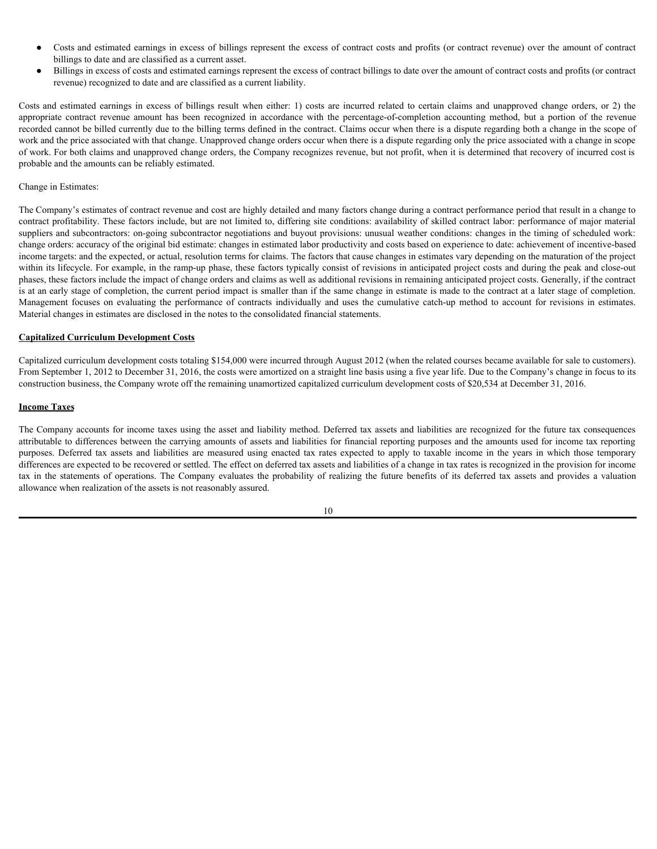- Costs and estimated earnings in excess of billings represent the excess of contract costs and profits (or contract revenue) over the amount of contract billings to date and are classified as a current asset.
- Billings in excess of costs and estimated earnings represent the excess of contract billings to date over the amount of contract costs and profits (or contract revenue) recognized to date and are classified as a current liability.

• Costs and estimated earnings in excess of billings represent the excess of contract costs and profits (or contract billings to date outer the amount of contract even asset of contract billings in excess of constanted car • Costs and estimated earnings in excess of billings represent the excess of contract costs and profits (or contract revenue) over the amount of contract billings to date and are classified as a current saset.<br>
• Billings recorded cannot be billed currently due to the billing terms defined in the contract. Claims occur when there is a dispute regarding both a change in the scope of work and the price associated with that change. Unapproved change orders occur when there is a dispute regarding only the price associated with a change in scope of work. For both claims and unapproved change orders, the Company recognizes revenue, but not profit, when it is determined that recovery of incurred cost is probable and the amounts can be reliably estimated.

#### Change in Estimates:

The Company's estimates of contract revenue and cost are highly detailed and many factors change during a contract performance period that result in a change to contract profitability. These factors include, but are not limited to, differing site conditions: availability of skilled contract labor: performance of major material suppliers and subcontractors: on-going subcontractor negotiations and buyout provisions: unusual weather conditions: changes in the timing of scheduled work: change orders: accuracy of the original bid estimate: changes in estimated labor productivity and costs based on experience to date: achievement of incentive-based income targets: and the expected, or actual, resolution terms for claims. The factors that cause changes in estimates vary depending on the maturation of the project within its lifecycle. For example, in the ramp-up phase, these factors typically consist of revisions in anticipated project costs and during the peak and close-out phases, these factors include the impact of change orders and claims as well as additional revisions in remaining anticipated project costs. Generally, if the contract is at an early stage of completion, the current period impact is smaller than if the same change in estimate is made to the contract at a later stage of completion. • Cress and esimutal carrings in excess of fullings represent the excess of contract costs and profits (or contract verenue) iver the amount of contract<br>
Billings to date and are classified as a current ansiet.<br>
This has c Material changes in estimates are disclosed in the notes to the consolidated financial statements. Central definition of caning in conserved of the purpose of the state income in the income of the state income in the state income in the state income by the state of the conserved tax and using the state income by the st rescribed comet be bitted carried of outside lines leven defined in the company colonic claims on the profession of the probability of a relation of the future individual and mapps in the statements the future in the state

# **Capitalized Curriculum Development Costs**

Capitalized curriculum development costs totaling \$154,000 were incurred through August 2012 (when the related courses became available for sale to customers). From September 1, 2012 to December 31, 2016, the costs were amortized on a straight line basis using a five year life. Due to the Company's change in focus to its construction business, the Company wrote off the remaining unamortized capitalized curriculum development costs of \$20,534 at December 31, 2016.

#### **Income Taxes**

The Company accounts for income taxes using the asset and liability method. Deferred tax assets and liabilities are recognized for the future tax consequences attributable to differences between the carrying amounts of assets and liabilities for financial reporting purposes and the amounts used for income tax reporting differences are expected to be recovered or settled. The effect on deferred tax assets and liabilities of a change in tax rates is recognized in the provision for income allowance when realization of the assets is not reasonably assured.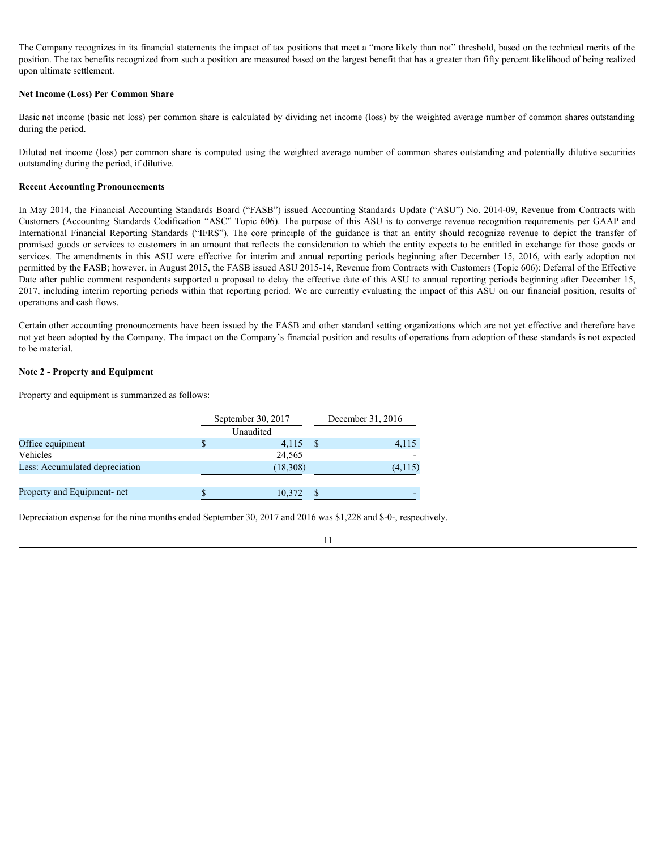The Company recognizes in its financial statements the impact of tax positions that meet a "more likely than not" threshold, based on the technical merits of the position. The tax benefits recognized from such a position are measured based on the largest benefit that has a greater than fifty percent likelihood of being realized upon ultimate settlement.

# **Net Income (Loss) Per Common Share**

Basic net income (basic net loss) per common share is calculated by dividing net income (loss) by the weighted average number of common shares outstanding during the period.

Diluted net income (loss) per common share is computed using the weighted average number of common shares outstanding and potentially dilutive securities outstanding during the period, if dilutive.

# **Recent Accounting Pronouncements**

In May 2014, the Financial Accounting Standards Board ("FASB") issued Accounting Standards Update ("ASU") No. 2014-09, Revenue from Contracts with The Company recognizes in its financial statemens the impact of tax positions that meet a "more likely than not" threshold, based on the technical merits of the position. The tax benefit recognized from such a position are The Company recognizes in its financial statements the impact of tax positions liat meet a "more likely than mot" threshold, based on the rehabile members of the position The tax benefits recognized from state a greater fr The Company recognizes in its financial statements the impact of tax positions that meet a "more likely than not" threshold, based on the technical merits of the<br>prount linear secondition securities to move a position are permitted by the FASB; however, in August 2015, the FASB issued ASU 2015-14, Revenue from Contracts with Customers (Topic 606): Deferral of the Effective Date after public comment respondents supported a proposal to delay the effective date of this ASU to annual reporting periods beginning after December 15, 2017, including interim reporting periods within that reporting period. We are currently evaluating the impact of this ASU on our financial position, results of operations and cash flows.

Certain other accounting pronouncements have been issued by the FASB and other standard setting organizations which are not yet effective and therefore have not yet been adopted by the Company. The impact on the Company's financial position and results of operations from adoption of these standards is not expected to be material.

# **Note 2 - Property and Equipment**

Property and equipment is summarized as follows:

|                                | September 30, 2017 | December 31, 2016 |
|--------------------------------|--------------------|-------------------|
|                                | Unaudited          |                   |
| Office equipment               | $4,115$ \$         | 4,115             |
| Vehicles                       | 24,565             |                   |
| Less: Accumulated depreciation | (18,308)           | (4,115)           |
| Property and Equipment- net    | 10,372             |                   |

Depreciation expense for the nine months ended September 30, 2017 and 2016 was \$1,228 and \$-0-, respectively.

<sup>11</sup>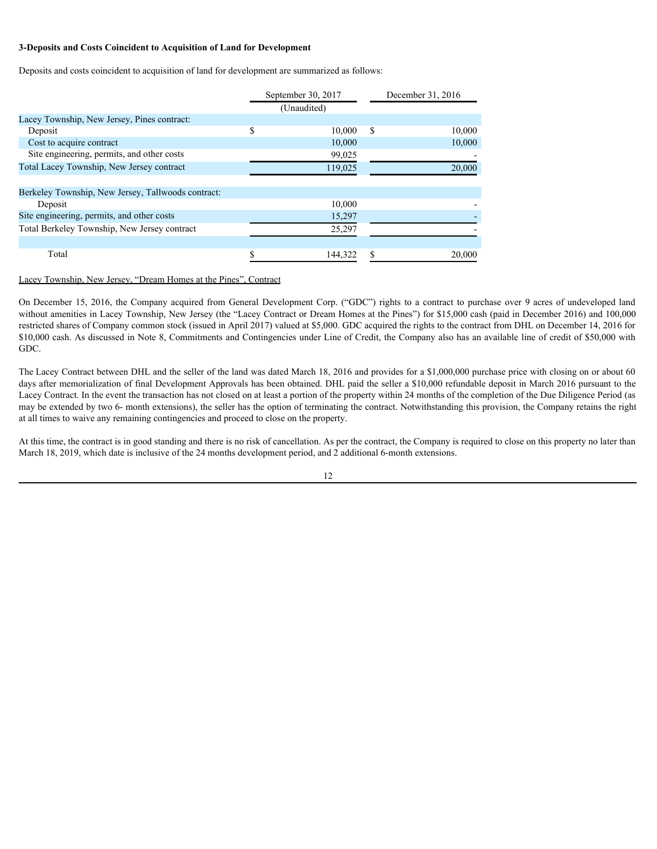# **3-Deposits and Costs Coincident to Acquisition of Land for Development**

| 3-Deposits and Costs Coincident to Acquisition of Land for Development                          |                    |     |                   |
|-------------------------------------------------------------------------------------------------|--------------------|-----|-------------------|
| Deposits and costs coincident to acquisition of land for development are summarized as follows: |                    |     |                   |
|                                                                                                 | September 30, 2017 |     | December 31, 2016 |
|                                                                                                 | (Unaudited)        |     |                   |
| Lacey Township, New Jersey, Pines contract:                                                     |                    |     |                   |
| Deposit                                                                                         | 10,000             | -\$ | 10,000            |
| Cost to acquire contract<br>Site engineering, permits, and other costs                          | 10,000<br>99,025   |     | 10,000            |
| Total Lacey Township, New Jersey contract                                                       |                    |     | 20,000            |
|                                                                                                 | 119,025            |     |                   |
| Berkeley Township, New Jersey, Tallwoods contract:                                              |                    |     |                   |
| Deposit                                                                                         | 10,000             |     |                   |
| Site engineering, permits, and other costs                                                      | 15,297             |     |                   |
| Total Berkeley Township, New Jersey contract                                                    | 25,297             |     |                   |
|                                                                                                 |                    |     |                   |
| Total                                                                                           | 144,322            |     | 20,000            |

The Lacey Contract between DHL and the seller of the land was dated March 18, 2016 and provides for a \$1,000,000 purchase price with closing on or about 60 days after memorialization of final Development Approvals has been obtained. DHL paid the seller a \$10,000 refundable deposit in March 2016 pursuant to the Lacey Contract. In the event the transaction has not closed on at least a portion of the property within 24 months of the completion of the Due Diligence Period (as may be extended by two 6- month extensions), the seller has the option of terminating the contract. Notwithstanding this provision, the Company retains the right at all times to waive any remaining contingencies and proceed to close on the property.

At this time, the contract is in good standing and there is no risk of cancellation. As per the contract, the Company is required to close on this property no later than March 18, 2019, which date is inclusive of the 24 months development period, and 2 additional 6-month extensions.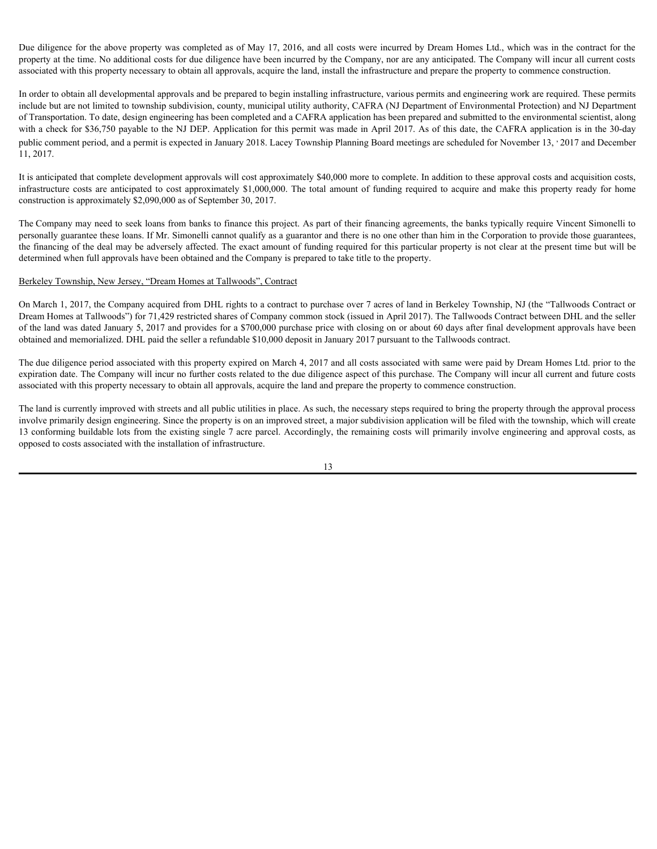Due diligence for the above property was completed as of May 17, 2016, and all costs were incurred by Dream Homes Ltd., which was in the contract for the property at the time. No additional costs for due diligence have been incurred by the Company, nor are any anticipated. The Company will incur all current costs associated with this property necessary to obtain all approvals, acquire the land, install the infrastructure and prepare the property to commence construction.

In order to obtain all developmental approvals and be prepared to begin installing infrastructure, various permits and engineering work are required. These permits include but are not limited to township subdivision, county, municipal utility authority, CAFRA (NJ Department of Environmental Protection) and NJ Department of Transportation. To date, design engineering has been completed and a CAFRA application has been prepared and submitted to the environmental scientist, along with a check for \$36,750 payable to the NJ DEP. Application for this permit was made in April 2017. As of this date, the CAFRA application is in the 30-day public comment period, and a permit is expected in January 2018. Lacey Township Planning Board meetings are scheduled for November 13,  $\cdot$  2017 and December 11, 2017. Due diligence for the above property was completed as of May 17, 2016, and all costs were incurred by Dream Homes Ltd., which was in the contract for the property at the time. No additional costs for due diligence have bee

It is anticipated that complete development approvals will cost approximately \$40,000 more to complete. In addition to these approval costs and acquisition costs, construction is approximately \$2,090,000 as of September 30, 2017.

The Company may need to seek loans from banks to finance this project. As part of their financing agreements, the banks typically require Vincent Simonelli to personally guarantee these loans. If Mr. Simonelli cannot qualify as a guarantor and there is no one other than him in the Corporation to provide those guarantees, the financing of the deal may be adversely affected. The exact amount of funding required for this particular property is not clear at the present time but will be determined when full approvals have been obtained and the Company is prepared to take title to the property.

## Berkeley Township, New Jersey, "Dream Homes at Tallwoods", Contract

On March 1, 2017, the Company acquired from DHL rights to a contract to purchase over 7 acres of land in Berkeley Township, NJ (the "Tallwoods Contract or Dream Homes at Tallwoods") for 71,429 restricted shares of Company common stock (issued in April 2017). The Tallwoods Contract between DHL and the seller of the land was dated January 5, 2017 and provides for a \$700,000 purchase price with closing on or about 60 days after final development approvals have been obtained and memorialized. DHL paid the seller a refundable \$10,000 deposit in January 2017 pursuant to the Tallwoods contract.

The due diligence period associated with this property expired on March 4, 2017 and all costs associated with same were paid by Dream Homes Ltd. prior to the expiration date. The Company will incur no further costs related to the due diligence aspect of this purchase. The Company will incur all current and future costs associated with this property necessary to obtain all approvals, acquire the land and prepare the property to commence construction.

The land is currently improved with streets and all public utilities in place. As such, the necessary steps required to bring the property through the approval process involve primarily design engineering. Since the property is on an improved street, a major subdivision application will be filed with the township, which will create 13 conforming buildable lots from the existing single 7 acre parcel. Accordingly, the remaining costs will primarily involve engineering and approval costs, as opposed to costs associated with the installation of infrastructure.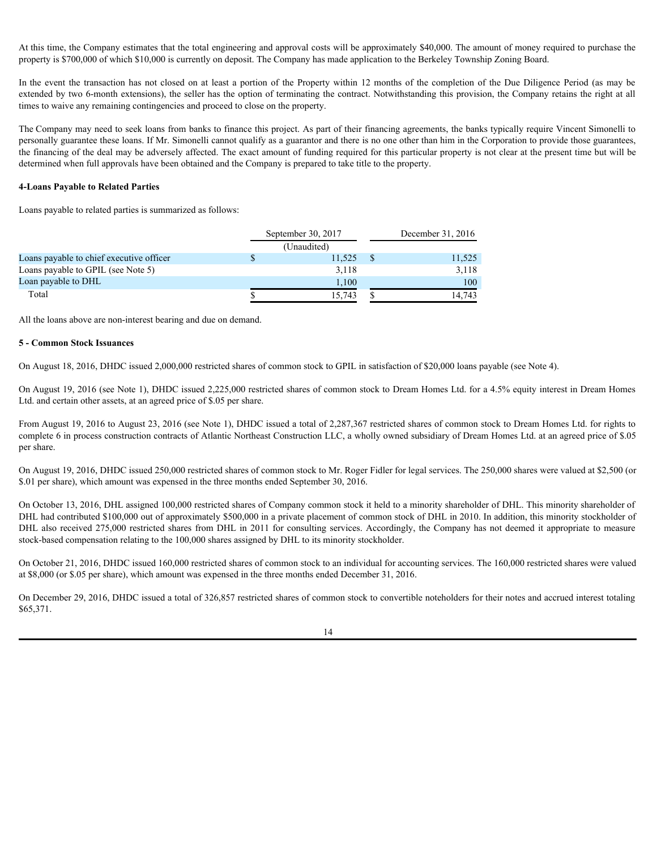At this time, the Company estimates that the total engineering and approval costs will be approximately \$40,000. The amount of money required to purchase the property is \$700,000 of which \$10,000 is currently on deposit. The Company has made application to the Berkeley Township Zoning Board.

extended by two 6-month extensions), the seller has the option of terminating the contract. Notwithstanding this provision, the Company retains the right at all times to waive any remaining contingencies and proceed to close on the property.

At this time, the Company estimates that the total engineering and approval costs will be approximately \$40,000. The amount of money required to purchase the property is \$700,000 of which \$10,000 is currently on deposit. T The Company may need to seek loans from banks to finance this project. As part of their financing agreements, the banks typically require Vincent Simonelli to personally guarantee these loans. If Mr. Simonelli cannot qualify as a guarantor and there is no one other than him in the Corporation to provide those guarantees, the financing of the deal may be adversely affected. The exact amount of funding required for this particular property is not clear at the present time but will be determined when full approvals have been obtained and the Company is prepared to take title to the property.

## **4-Loans Payable to Related Parties**

Loans payable to related parties is summarized as follows:

|                                          | September 30, 2017 | December 31, 2016 |
|------------------------------------------|--------------------|-------------------|
|                                          | (Unaudited)        |                   |
| Loans payable to chief executive officer | 11,525             | 11,525            |
| Loans payable to GPIL (see Note 5)       | 3,118              | 3,118             |
| Loan payable to DHL                      | 1,100              | 100               |
| Total                                    | 15,743             | 14,743            |

All the loans above are non-interest bearing and due on demand.

# **5 - Common Stock Issuances**

On August 18, 2016, DHDC issued 2,000,000 restricted shares of common stock to GPIL in satisfaction of \$20,000 loans payable (see Note 4).

On August 19, 2016 (see Note 1), DHDC issued 2,225,000 restricted shares of common stock to Dream Homes Ltd. for a 4.5% equity interest in Dream Homes Ltd. and certain other assets, at an agreed price of \$.05 per share.

From August 19, 2016 to August 23, 2016 (see Note 1), DHDC issued a total of 2,287,367 restricted shares of common stock to Dream Homes Ltd. for rights to complete 6 in process construction contracts of Atlantic Northeast Construction LLC, a wholly owned subsidiary of Dream Homes Ltd. at an agreed price of \$.05 per share.

On August 19, 2016, DHDC issued 250,000 restricted shares of common stock to Mr. Roger Fidler for legal services. The 250,000 shares were valued at \$2,500 (or \$.01 per share), which amount was expensed in the three months ended September 30, 2016.

On October 13, 2016, DHL assigned 100,000 restricted shares of Company common stock it held to a minority shareholder of DHL. This minority shareholder of DHL had contributed \$100,000 out of approximately \$500,000 in a private placement of common stock of DHL in 2010. In addition, this minority stockholder of DHL also received 275,000 restricted shares from DHL in 2011 for consulting services. Accordingly, the Company has not deemed it appropriate to measure stock-based compensation relating to the 100,000 shares assigned by DHL to its minority stockholder.

On October 21, 2016, DHDC issued 160,000 restricted shares of common stock to an individual for accounting services. The 160,000 restricted shares were valued at \$8,000 (or \$.05 per share), which amount was expensed in the three months ended December 31, 2016.

On December 29, 2016, DHDC issued a total of 326,857 restricted shares of common stock to convertible noteholders for their notes and accrued interest totaling \$65,371.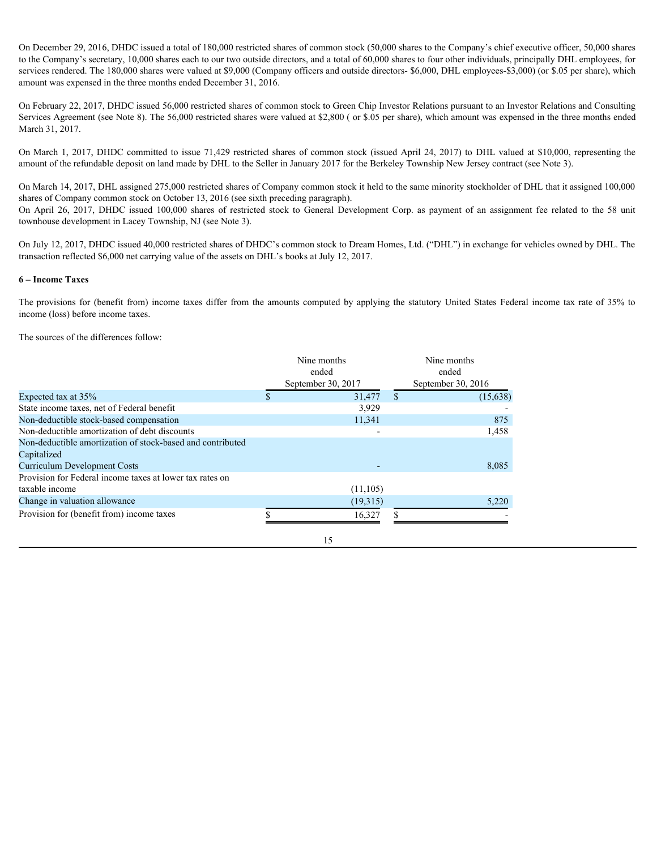On December 29, 2016, DHDC issued a total of 180,000 restricted shares of common stock (50,000 shares to the Company's chief executive officer, 50,000 shares to the Company's secretary, 10,000 shares each to our two outside directors, and a total of 60,000 shares to four other individuals, principally DHL employees, for services rendered. The 180,000 shares were valued at \$9,000 (Company officers and outside directors- \$6,000, DHL employees-\$3,000) (or \$.05 per share), which amount was expensed in the three months ended December 31, 2016. On December 29, 2016, DHDC issued a total of 180,000 restricted shares of common stock (50,000 shares to the Company's chief executive officer, 50,000 shares to tote to the Company's exeretary, 10,000 shares seen to our tw On December 29, 2016, DHDC issued a total of 180,000 restricted shares of common stock (50,000 shares to the Commany's chief executive officer, 50,000 shares to the Commany's secretary, 10,000 shares cach to our tow outsi On Documber 29, 2016, DHIX' issued a total of 180,000 seatrical shares of common stock (50,000 shares to the Company's chief executive officer, 50,000 shares company's services and company's energy exercuting and one for

On February 22, 2017, DHDC issued 56,000 restricted shares of common stock to Green Chip Investor Relations pursuant to an Investor Relations and Consulting Services Agreement (see Note 8). The 56,000 restricted shares were valued at \$2,800 (or \$.05 per share), which amount was expensed in the three months ended March 31, 2017.

amount of the refundable deposit on land made by DHL to the Seller in January 2017 for the Berkeley Township New Jersey contract (see Note 3).

On March 14, 2017, DHL assigned 275,000 restricted shares of Company common stock it held to the same minority stockholder of DHL that it assigned 100,000 shares of Company common stock on October 13, 2016 (see sixth preceding paragraph).

townhouse development in Lacey Township, NJ (see Note 3).

On July 12, 2017, DHDC issued 40,000 restricted shares of DHDC's common stock to Dream Homes, Ltd. ("DHL") in exchange for vehicles owned by DHL. The transaction reflected \$6,000 net carrying value of the assets on DHL's books at July 12, 2017.

#### **6 – Income Taxes**

income (loss) before income taxes.

The sources of the differences follow:

|                                                            | Nine months<br>ended | Nine months<br>ended |
|------------------------------------------------------------|----------------------|----------------------|
|                                                            | September 30, 2017   | September 30, 2016   |
| Expected tax at 35%                                        | 31,477               | (15, 638)            |
| State income taxes, net of Federal benefit                 | 3,929                |                      |
| Non-deductible stock-based compensation                    | 11,341               | 875                  |
| Non-deductible amortization of debt discounts              |                      | 1,458                |
| Non-deductible amortization of stock-based and contributed |                      |                      |
| Capitalized                                                |                      |                      |
| <b>Curriculum Development Costs</b>                        |                      | 8,085                |
| Provision for Federal income taxes at lower tax rates on   |                      |                      |
| taxable income                                             | (11,105)             |                      |
| Change in valuation allowance                              | (19,315)             | 5,220                |
| Provision for (benefit from) income taxes                  | 16,327               |                      |
|                                                            |                      |                      |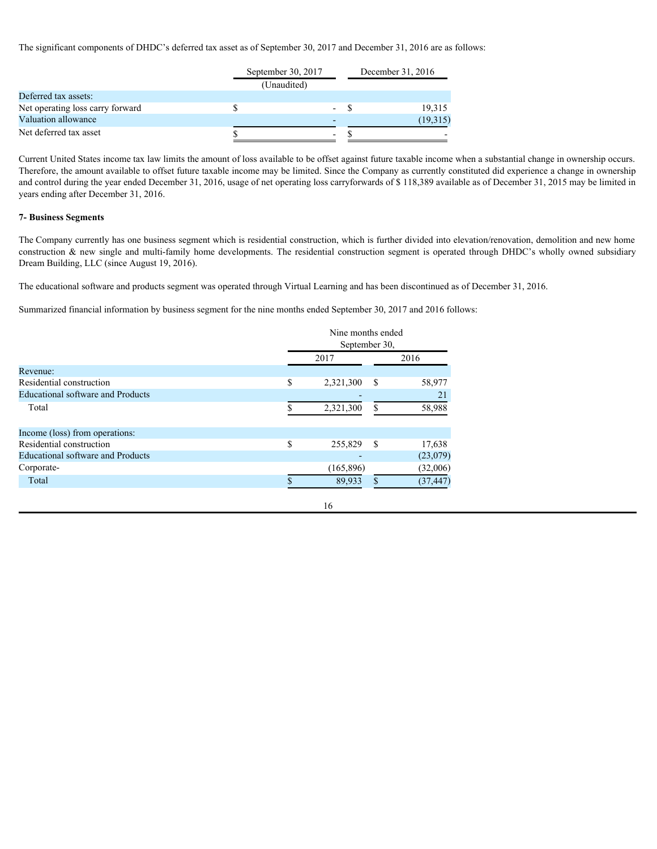| The significant components of DHDC's deferred tax asset as of September 30, 2017 and December 31, 2016 are as follows:                                                                                                                                                                                                                                                                                                                                                                                                                            |             |                    |                   |
|---------------------------------------------------------------------------------------------------------------------------------------------------------------------------------------------------------------------------------------------------------------------------------------------------------------------------------------------------------------------------------------------------------------------------------------------------------------------------------------------------------------------------------------------------|-------------|--------------------|-------------------|
|                                                                                                                                                                                                                                                                                                                                                                                                                                                                                                                                                   |             | September 30, 2017 | December 31, 2016 |
|                                                                                                                                                                                                                                                                                                                                                                                                                                                                                                                                                   | (Unaudited) |                    |                   |
| Deferred tax assets:<br>Net operating loss carry forward                                                                                                                                                                                                                                                                                                                                                                                                                                                                                          |             |                    | 19.315            |
| Valuation allowance                                                                                                                                                                                                                                                                                                                                                                                                                                                                                                                               |             |                    | (19,315)          |
| Net deferred tax asset                                                                                                                                                                                                                                                                                                                                                                                                                                                                                                                            |             |                    |                   |
| Current United States income tax law limits the amount of loss available to be offset against future taxable income when a substantial change in ownership occurs.<br>Therefore, the amount available to offset future taxable income may be limited. Since the Company as currently constituted did experience a change in ownership<br>and control during the year ended December 31, 2016, usage of net operating loss carryforwards of \$118,389 available as of December 31, 2015 may be limited in<br>years ending after December 31, 2016. |             |                    |                   |
| <b>7- Business Segments</b>                                                                                                                                                                                                                                                                                                                                                                                                                                                                                                                       |             |                    |                   |
| The Company currently has one business segment which is residential construction, which is further divided into elevation/renovation, demolition and new home<br>construction & new single and multi-family home developments. The residential construction segment is operated through DHDC's wholly owned subsidiary<br>Dream Building, LLC (since August 19, 2016).                                                                                                                                                                            |             |                    |                   |
| The educational software and products segment was operated through Virtual Learning and has been discontinued as of December 31, 2016.                                                                                                                                                                                                                                                                                                                                                                                                            |             |                    |                   |
| Summarized financial information by business segment for the nine months ended September 30, 2017 and 2016 follows:                                                                                                                                                                                                                                                                                                                                                                                                                               |             |                    |                   |
|                                                                                                                                                                                                                                                                                                                                                                                                                                                                                                                                                   |             | Nine months ended  |                   |

# **7- Business Segments**

|                                          |   | Nine months ended<br>September 30, |               |           |
|------------------------------------------|---|------------------------------------|---------------|-----------|
|                                          |   | 2017                               |               | 2016      |
| Revenue:                                 |   |                                    |               |           |
| Residential construction                 | S | 2,321,300                          | \$            | 58,977    |
| <b>Educational software and Products</b> |   |                                    |               | 21        |
| Total                                    |   | 2,321,300                          |               | 58,988    |
| Income (loss) from operations:           |   |                                    |               |           |
| Residential construction                 | S | 255,829                            | <sup>\$</sup> | 17,638    |
| <b>Educational software and Products</b> |   | $\overline{\phantom{0}}$           |               | (23,079)  |
| Corporate-                               |   | (165, 896)                         |               | (32,006)  |
| Total                                    |   | 89,933                             |               | (37, 447) |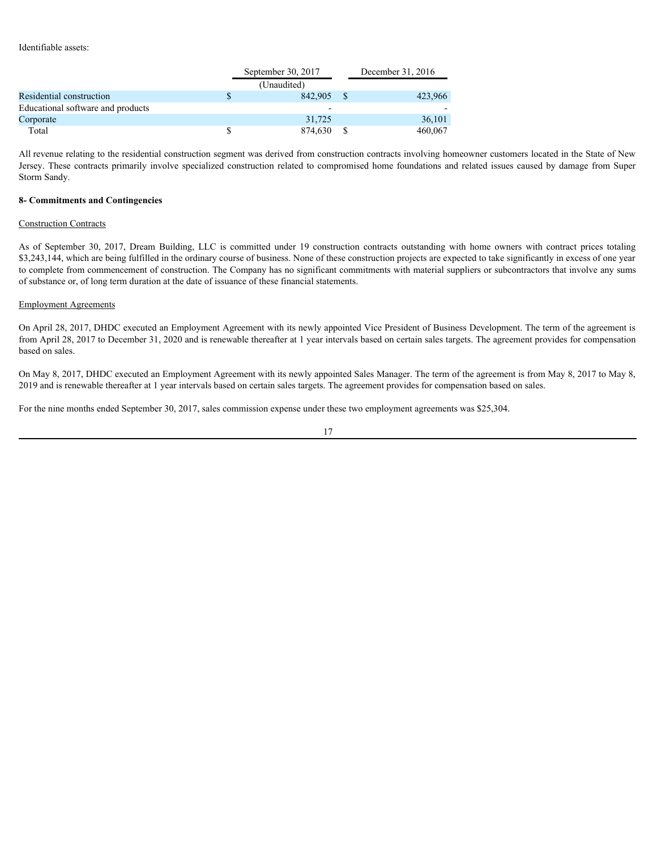| Identifiable assets:                                                                                                                                                                                                                                                                                                                        |              |                           |                   |
|---------------------------------------------------------------------------------------------------------------------------------------------------------------------------------------------------------------------------------------------------------------------------------------------------------------------------------------------|--------------|---------------------------|-------------------|
|                                                                                                                                                                                                                                                                                                                                             |              | September 30, 2017        | December 31, 2016 |
| Residential construction                                                                                                                                                                                                                                                                                                                    | $\mathbb{S}$ | (Unaudited)<br>842,905 \$ | 423,966           |
| Educational software and products                                                                                                                                                                                                                                                                                                           |              |                           |                   |
| Corporate                                                                                                                                                                                                                                                                                                                                   |              | 31,725                    | 36,101            |
| Total                                                                                                                                                                                                                                                                                                                                       | $\mathbb{S}$ | 874,630 \$                | 460,067           |
| All revenue relating to the residential construction segment was derived from construction contracts involving homeowner customers located in the State of New<br>Jersey. These contracts primarily involve specialized construction related to compromised home foundations and related issues caused by damage from Super<br>Storm Sandy. |              |                           |                   |
| 8- Commitments and Contingencies                                                                                                                                                                                                                                                                                                            |              |                           |                   |
| <b>Construction Contracts</b>                                                                                                                                                                                                                                                                                                               |              |                           |                   |
| As of September 30, 2017, Dream Building, LLC is committed under 19 construction contracts outstanding with home owners with contract prices totaling<br>\$3,243,144, which are being fulfilled in the ordinary course of business. None of these construction projects are expected to take significantly in excess of one year            |              |                           |                   |
| to complete from commencement of construction. The Company has no significant commitments with material suppliers or subcontractors that involve any sums<br>of substance or, of long term duration at the date of issuance of these financial statements.                                                                                  |              |                           |                   |
| <b>Employment Agreements</b>                                                                                                                                                                                                                                                                                                                |              |                           |                   |

# **8- Commitments and Contingencies**

# Construction Contracts

#### Employment Agreements

On April 28, 2017, DHDC executed an Employment Agreement with its newly appointed Vice President of Business Development. The term of the agreement is from April 28, 2017 to December 31, 2020 and is renewable thereafter at 1 year intervals based on certain sales targets. The agreement provides for compensation based on sales.

On May 8, 2017, DHDC executed an Employment Agreement with its newly appointed Sales Manager. The term of the agreement is from May 8, 2017 to May 8, 2019 and is renewable thereafter at 1 year intervals based on certain sales targets. The agreement provides for compensation based on sales.

For the nine months ended September 30, 2017, sales commission expense under these two employment agreements was \$25,304.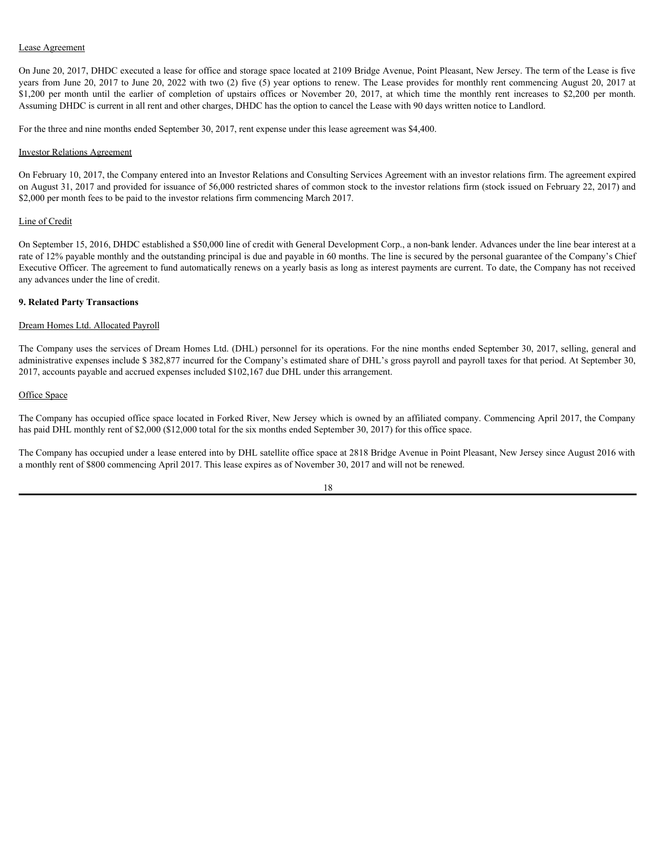## Lease Agreement

On June 20, 2017, DHDC executed a lease for office and storage space located at 2109 Bridge Avenue, Point Pleasant, New Jersey. The term of the Lease is five years from June 20, 2017 to June 20, 2022 with two (2) five (5) year options to renew. The Lease provides for monthly rent commencing August 20, 2017 at Lease Agreement<br>On June 20, 2017. DHDC executed a lease for office and storage space located at 2109 Bridge Avenue, Point Pleasant, New Jersey. The term of the Lease is five<br>years from June 20, 2017 to June 20, 2022 with t Assuming DHDC is current in all rent and other charges, DHDC has the option to cancel the Lease with 90 days written notice to Landlord.

For the three and nine months ended September 30, 2017, rent expense under this lease agreement was \$4,400.

#### Investor Relations Agreement

On February 10, 2017, the Company entered into an Investor Relations and Consulting Services Agreement with an investor relations firm. The agreement expired on August 31, 2017 and provided for issuance of 56,000 restricted shares of common stock to the investor relations firm (stock issued on February 22, 2017) and \$2,000 per month fees to be paid to the investor relations firm commencing March 2017.

#### Line of Credit

On September 15, 2016, DHDC established a \$50,000 line of credit with General Development Corp., a non-bank lender. Advances under the line bear interest at a rate of 12% payable monthly and the outstanding principal is due and payable in 60 months. The line is secured by the personal guarantee of the Company's Chief Executive Officer. The agreement to fund automatically renews on a yearly basis as long as interest payments are current. To date, the Company has not received any advances under the line of credit.

#### **9. Related Party Transactions**

# Dream Homes Ltd. Allocated Payroll

The Company uses the services of Dream Homes Ltd. (DHL) personnel for its operations. For the nine months ended September 30, 2017, selling, general and administrative expenses include \$ 382,877 incurred for the Company's estimated share of DHL's gross payroll and payroll taxes for that period. At September 30, 2017, accounts payable and accrued expenses included \$102,167 due DHL under this arrangement.

# Office Space

The Company has occupied office space located in Forked River, New Jersey which is owned by an affiliated company. Commencing April 2017, the Company has paid DHL monthly rent of \$2,000 (\$12,000 total for the six months ended September 30, 2017) for this office space.

The Company has occupied under a lease entered into by DHL satellite office space at 2818 Bridge Avenue in Point Pleasant, New Jersey since August 2016 with a monthly rent of \$800 commencing April 2017. This lease expires as of November 30, 2017 and will not be renewed.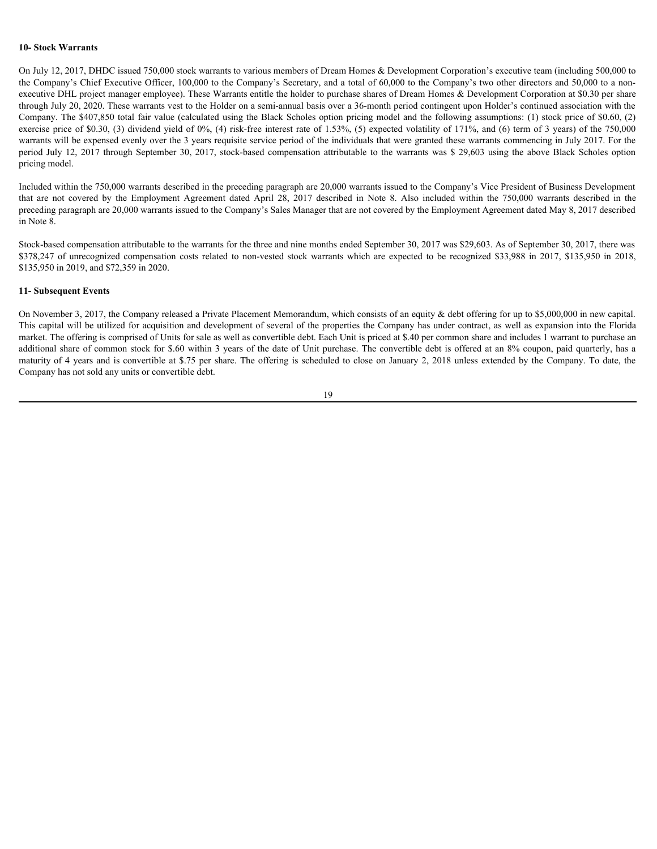#### **10- Stock Warrants**

On July 12, 2017, DHDC issued 750,000 stock warrants to various members of Dream Homes & Development Corporation's executive team (including 500,000 to the Company's Chief Executive Officer, 100,000 to the Company's Secretary, and a total of 60,000 to the Company's two other directors and 50,000 to a nonexecutive DHL project manager employee). These Warrants entitle the holder to purchase shares of Dream Homes & Development Corporation at \$0.30 per share through July 20, 2020. These warrants vest to the Holder on a semi-annual basis over a 36-month period contingent upon Holder's continued association with the Company. The \$407,850 total fair value (calculated using the Black Scholes option pricing model and the following assumptions: (1) stock price of \$0.60, (2) exercise price of \$0.30, (3) dividend yield of 0%, (4) risk-free interest rate of 1.53%, (5) expected volatility of 171%, and (6) term of 3 years) of the 750,000 warrants will be expensed evenly over the 3 years requisite service period of the individuals that were granted these warrants commencing in July 2017. For the 10- Stock Warrants<br>
On July 12, 2017, DHDC issued 750,000 stock warrants to various members of Dream Homes & Development Corporation's executive team (including 500,000 to<br>
the Company Schief Exceutive Officer, 100,000 to pricing model. 10- Stock Warrants<br>
On July 12, 2017, DHDC issued 750,000 stock warrants to various members of Dream Homes & Development Corporation's executive team (including 500,000 to<br>
the Company's Chief Executive Officer, 100,000 to 10- Stock Warrants<br>
On July 12, 2017, DHDC issued 750,000 stock warrants to various members of Dream Homes & Development Corporation's executive team (including 500,000 to<br>
the Company's Coince Faceutive Office, 100,000 t

Included within the 750,000 warrants described in the preceding paragraph are 20,000 warrants issued to the Company's Vice President of Business Development preceding paragraph are 20,000 warrants issued to the Company's Sales Manager that are not covered by the Employment Agreement dated May 8, 2017 described in Note 8.

Stock-based compensation attributable to the warrants for the three and nine months ended September 30, 2017 was \$29,603. As of September 30, 2017, there was \$135,950 in 2019, and \$72,359 in 2020.

#### **11- Subsequent Events**

On November 3, 2017, the Company released a Private Placement Memorandum, which consists of an equity & debt offering for up to \$5,000,000 in new capital. This capital will be utilized for acquisition and development of several of the properties the Company has under contract, as well as expansion into the Florida market. The offering is comprised of Units for sale as well as convertible debt. Each Unit is priced at \$.40 per common share and includes 1 warrant to purchase an additional share of common stock for \$.60 within 3 years of the date of Unit purchase. The convertible debt is offered at an 8% coupon, paid quarterly, has a maturity of 4 years and is convertible at \$.75 per share. The offering is scheduled to close on January 2, 2018 unless extended by the Company. To date, the Company has not sold any units or convertible debt.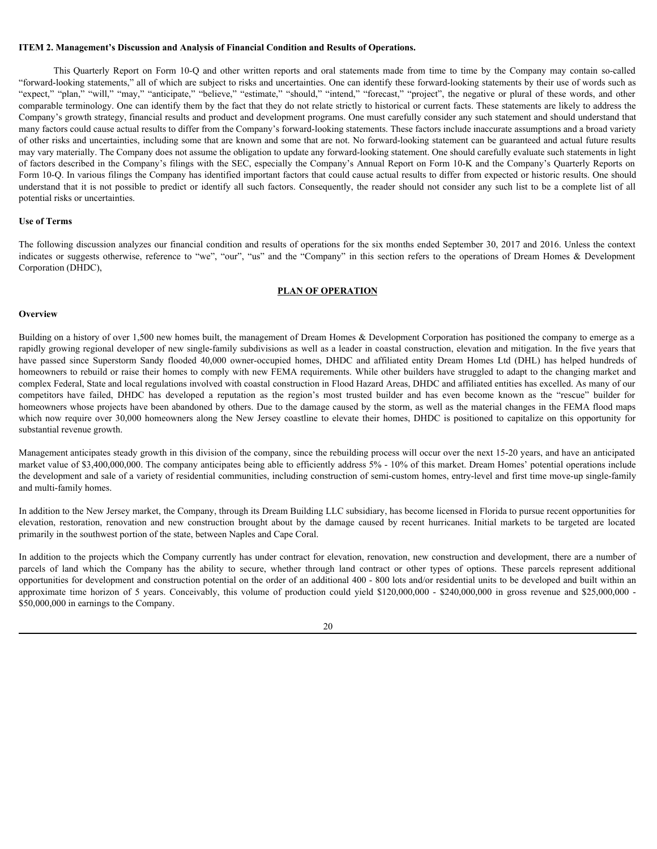#### <span id="page-19-0"></span>**ITEM 2. Management's Discussion and Analysis of Financial Condition and Results of Operations.**

**Management's Discussion and Analysis of Financial Condition and Results of Operations.**<br>This Quarterly Report on Form 10-Q and other written reports and oral statements made from time to time by the Company may contain so "forward-looking statements," all of which are subject to risks and uncertainties. One can identify these forward-looking statements by their use of words such as TTEM 2. Management's Discussion and Analysis of Financial Condition and Results of Operations.<br>
This Quarterly Report on Form 10-Q and other written reports and oral statements made from time to time by the Company may con comparable terminology. One can identify them by the fact that they do not relate strictly to historical or current facts. These statements are likely to address the Company's growth strategy, financial results and product and development programs. One must carefully consider any such statement and should understand that many factors could cause actual results to differ from the Company's forward-looking statements. These factors include inaccurate assumptions and a broad variety of other risks and uncertainties, including some that are known and some that are not. No forward-looking statement can be guaranteed and actual future results may vary materially. The Company does not assume the obligation to update any forward-looking statement. One should carefully evaluate such statements in light of factors described in the Company's filings with the SEC, especially the Company's Annual Report on Form 10-K and the Company's Quarterly Reports on Form 10-Q. In various filings the Company has identified important factors that could cause actual results to differ from expected or historic results. One should understand that it is not possible to predict or identify all such factors. Consequently, the reader should not consider any such list to be a complete list of all potential risks or uncertainties. **ITEM 2. Management's Discussion and Analysis of Financial Condition and Results of Operations.**<br>
This Quarterly Report on Form 10-0 and other written reports and one datements made from time to time by the Company may co TEEM 2. Management's Discussion and Analysis of Franceial condition and Results of Operations.<br>
This Quartet Record of torm 10-Q and other within coperate and calculated point and for the by the Campany rary continuion of ITEM 2. Management's Discussion and Analysis of Financial Condition and Results of Operations. This Use the Theorem South and the results of the results of the results of the results of the results of the results of the r The Quarrier Require of the Company of the Company of the Company in the station interacts home into the company interact the stationary and the three in the top New Yersey and the Company and the Company and the Company

#### **Use of Terms**

The following discussion analyzes our financial condition and results of operations for the six months ended September 30, 2017 and 2016. Unless the context Corporation (DHDC),

# **PLAN OF OPERATION**

#### **Overview Overview** *Overview*

Building on a history of over 1,500 new homes built, the management of Dream Homes & Development Corporation has positioned the company to emerge as a rapidly growing regional developer of new single-family subdivisions as well as a leader in coastal construction, elevation and mitigation. In the five years that homeowners to rebuild or raise their homes to comply with new FEMA requirements. While other builders have struggled to adapt to the changing market and complex Federal, State and local regulations involved with coastal construction in Flood Hazard Areas, DHDC and affiliated entities has excelled. As many of our homeowners whose projects have been abandoned by others. Due to the damage caused by the storm, as well as the material changes in the FEMA flood maps substantial revenue growth. From 10, D is various (Fig. 10, well-compary basis then if the broad construction, the construction, the construction and the construction and the construction, the construction of the set of the set of the set of the set Use of Terms<br>The following discussion ambyzes our funncial condition and results of operation for the inclusion racket Speculter 30, 2017 and 2016. Unlike the contract Company in the secure, the secure, secure, the compan The inheorem time characteristics and yields the Conceivable of the second in the second of the second of Distribution of  $\theta$  as the second of Distribution Conceiver times and the second of Distribution  $\theta$  Conceivables

Management anticipates steady growth in this division of the company, since the rebuilding process will occur over the next 15-20 years, and have an anticipated market value of \$3,400,000,000. The company anticipates being able to efficiently address 5% - 10% of this market. Dream Homes' potential operations include the development and sale of a variety of residential communities, including construction of semi-custom homes, entry-level and first time move-up single-family and multi-family homes.

In addition to the New Jersey market, the Company, through its Dream Building LLC subsidiary, has become licensed in Florida to pursue recent opportunities for primarily in the southwest portion of the state, between Naples and Cape Coral.

In addition to the projects which the Company currently has under contract for elevation, renovation, new construction and development, there are a number of opportunities for development and construction potential on the order of an additional 400 - 800 lots and/or residential units to be developed and built within an \$50,000,000 in earnings to the Company.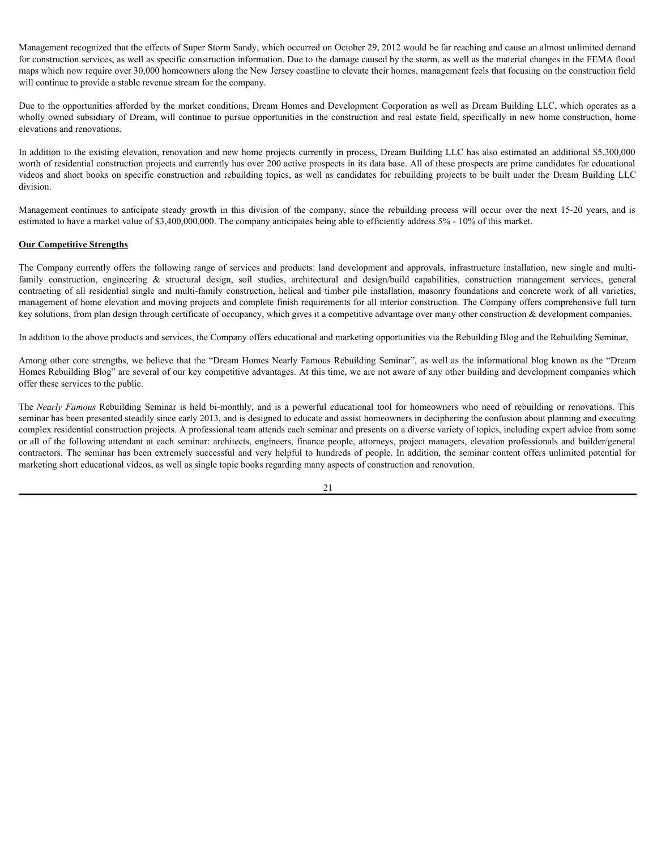Management recognized that the effects of Super Storm Sandy, which occurred on October 29, 2012 would be far reaching and cause an almost unlimited demand for construction services, as well as specific construction information. Due to the damage caused by the storm, as well as the material changes in the FEMA flood maps which now require over 30,000 homeowners along the New Jersey coastline to elevate their homes, management feels that focusing on the construction field will continue to provide a stable revenue stream for the company. Management recognized that the effects of Super Storm Sandy, which occurred on October 29, 2012 would be far reaching and cause an almost unlimited demand<br>for construction service, as well as specific construction informat

Due to the opportunities afforded by the market conditions, Dream Homes and Development Corporation as well as Dream Building LLC, which operates as a wholly owned subsidiary of Dream, will continue to pursue opportunities in the construction and real estate field, specifically in new home construction, home elevations and renovations.

In addition to the existing elevation, renovation and new home projects currently in process, Dream Building LLC has also estimated an additional \$5,300,000 worth of residential construction projects and currently has over 200 active prospects in its data base. All of these prospects are prime candidates for educational videos and short books on specific construction and rebuilding topics, as well as candidates for rebuilding projects to be built under the Dream Building LLC division.

estimated to have a market value of \$3,400,000,000. The company anticipates being able to efficiently address 5% - 10% of this market.

## **Our Competitive Strengths**

The Company currently offers the following range of services and products: land development and approvals, infrastructure installation, new single and multi-Management recognized that the effects of Super Storm Stady, which occurred on October 29, 2012 would be far traching and cause an innest unlimited demand<br>for construction services, we will a specific construction infermat Management recognized that the effects of Super Storm Sandy, which occurred on October 29, 2012 would be far reaching and cause an almost unimited demand<br>for construction stress, we will as specific construction informatio management of home elevation and moving projects and complete finish requirements for all interior construction. The Company offers comprehensive full turn key solutions, from plan design through certificate of occupancy, which gives it a competitive advantage over many other construction & development companies.

In addition to the above products and services, the Company offers educational and marketing opportunities via the Rebuilding Blog and the Rebuilding Seminar,

Among other core strengths, we believe that the "Dream Homes Nearly Famous Rebuilding Seminar", as well as the informational blog known as the "Dream Homes Rebuilding Blog" are several of our key competitive advantages. At this time, we are not aware of any other building and development companies which offer these services to the public.

If recomption or the society, as well as guiding Constraint in the<br>main which we recover, so we have a method in the comptant of the local distance camed ty be some words to the reduced to the some orient of the distance o seminar has been presented steadily since early 2013, and is designed to educate and assist homeowners in deciphering the confusion about planning and executing complex residential construction projects. A professional team attends each seminar and presents on a diverse variety of topics, including expert advice from some or all of the following attendant at each seminar: architects, engineers, finance people, attorneys, project managers, elevation professionals and builder/general contractors. The seminar has been extremely successful and very helpful to hundreds of people. In addition, the seminar content offers unlimited potential for marketing short educational videos, as well as single topic books regarding many aspects of construction and renovation.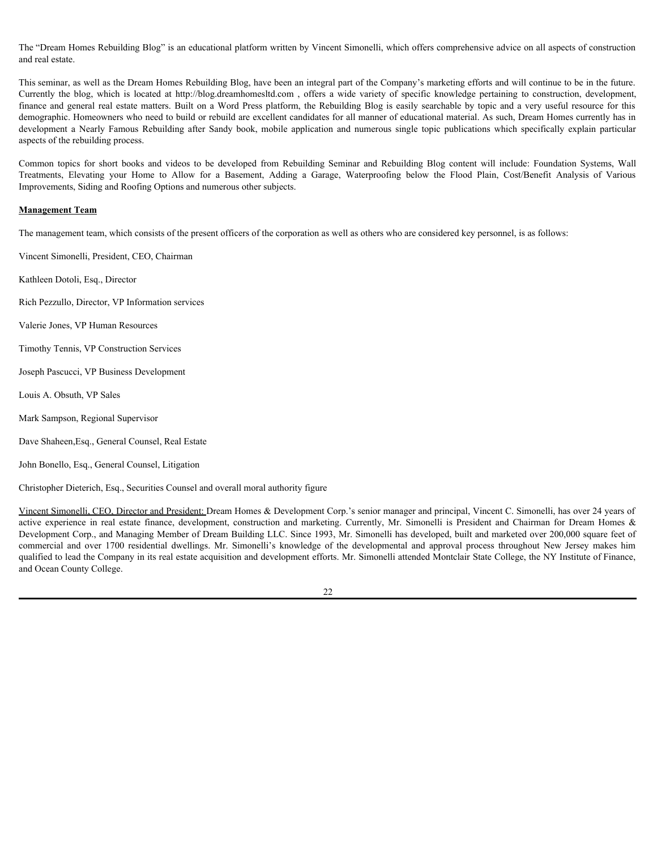The "Dream Homes Rebuilding Blog" is an educational platform written by Vincent Simonelli, which offers comprehensive advice on all aspects of construction and real estate.

This seminar, as well as the Dream Homes Rebuilding Blog, have been an integral part of the Company's marketing efforts and will continue to be in the future. The "Dream Homes Rebuilding Blog" is an educational platform written by Vincent Simonelli, which offers comprehensive advice on all aspects of construction<br>and real estate.<br>This seminar, as well as the Dream Homes Rebuildi The "Dream Homes Rebuilding Blog" is an educational platform written by Vincent Simonelli, which offers comprehensive advice on all aspects of construction<br>and real estate.<br>This seminar, as well as the Dream Homes Rebuildi demographic. Homeowners who need to build or rebuild are excellent candidates for all manner of educational material. As such, Dream Homes currently has in The "Dream Homes Rebuilding Blog" is an educational platform written by Vincent Simonelli, which offers comprehensive advice on all aspects of construction<br>and real estate.<br>This seminar, as well as the Dream Homes Rebuildi aspects of the rebuilding process. The "Dream Homes Rebuilding Blog" is an educational platform written by Vincent Simonelli, which offers comprehensive advice on all aspects of construction<br>and real estate.<br>This seminar, as well as the Dream Homes Rebuildi The "Dream Homes Rebuilding Blog" is an educational platform written by Vincent Simonelli, which offers comprehensive advice on all aspects of construction<br>and real eastate.<br>This seminar, as well as the Dream Homes Rebuild

Improvements, Siding and Roofing Options and numerous other subjects.

# **Management Team**

The management team, which consists of the present officers of the corporation as well as others who are considered key personnel, is as follows:

Vincent Simonelli, President, CEO, Chairman

Kathleen Dotoli, Esq., Director

Rich Pezzullo, Director, VP Information services

Valerie Jones, VP Human Resources

Timothy Tennis, VP Construction Services

Joseph Pascucci, VP Business Development

Louis A. Obsuth, VP Sales

Mark Sampson, Regional Supervisor

Dave Shaheen,Esq., General Counsel, Real Estate

John Bonello, Esq., General Counsel, Litigation

Christopher Dieterich, Esq., Securities Counsel and overall moral authority figure

Vincent Simonelli, CEO, Director and President: Dream Homes & Development Corp.'s senior manager and principal, Vincent C. Simonelli, has over 24 years of Treatment, Precising your Horne is Atline for a Basement, Adding a Giange, Watermoring below the filesal Plant Plant Plant Plant Plant Plant Plant Plant Plant Plant Plant Plant Plant Plant Plant Plant Plant Plant Plant Pla Development Corp., and Managing Member of Dream Building LLC. Since 1993, Mr. Simonelli has developed, built and marketed over 200,000 square feet of **Management Team**<br>The management tram, which consists of the present offices of the corporation as well as others who are considered key personnel, it as follows:<br>Vanced Simonelli, President, CEO, Claimann<br>Rathles Dod, Fig qualified to lead the Company in its real estate acquisition and development efforts. Mr. Simonelli attended Montclair State College, the NY Institute of Finance, and Ocean County College.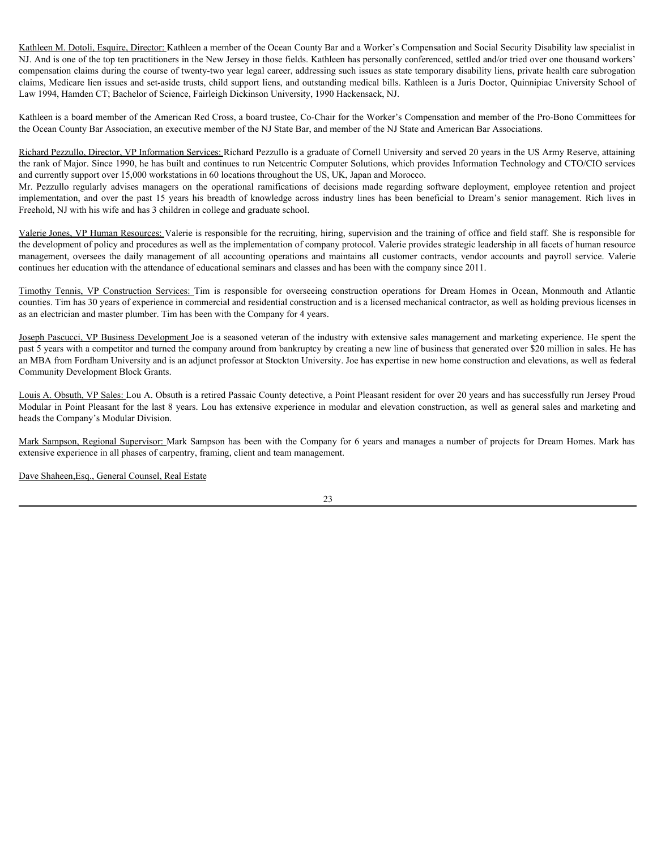Kathleen M. Dotoli, Esquire, Director: Kathleen a member of the Ocean County Bar and a Worker's Compensation and Social Security Disability law specialist in NJ. And is one of the top ten practitioners in the New Jersey in those fields. Kathleen has personally conferenced, settled and/or tried over one thousand workers' compensation claims during the course of twenty-two year legal career, addressing such issues as state temporary disability liens, private health care subrogation claims, Medicare lien issues and set-aside trusts, child support liens, and outstanding medical bills. Kathleen is a Juris Doctor, Quinnipiac University School of Law 1994, Hamden CT; Bachelor of Science, Fairleigh Dickinson University, 1990 Hackensack, NJ. Kunheen M. Dotoli, Esquire, Directer, Kathleen a member of the Ocean County Bar and a Worker's Compensation and Social Security Disability law specialist in<br>NJ. And is one of the top ten practitioners in the New Jersey in **Kahleem M. Datoli. Esquire, Director, Kahleem a member of the Ocean County Bar and a Worker's Compensation and Social Security Disability law specialist in<br>N.V. And is one of the top ten practitioners in the New Jersey in** Kathleen M. Datuli. Esquire, Director, Kathleen a member of the Ocean County Bar and a Worker's Comprension and Social Security Distribution to MA and a room member on the New Jeres in the Back Kathleen als presently contr Kankeen M. Doteli, Esquire, Diecetor, Kankeen a member of the Orean County Bar and a Worker's Compensation and Social Security Disability law specialis in M.And is are of the orient procedus in the New Jereo, paid successi

Kathleen is a board member of the American Red Cross, a board trustee, Co-Chair for the Worker's Compensation and member of the Pro-Bono Committees for the Ocean County Bar Association, an executive member of the NJ State Bar, and member of the NJ State and American Bar Associations.

Richard Pezzullo, Director, VP Information Services: Richard Pezzullo is a graduate of Cornell University and served 20 years in the US Army Reserve, attaining the rank of Major. Since 1990, he has built and continues to run Netcentric Computer Solutions, which provides Information Technology and CTO/CIO services and currently support over 15,000 workstations in 60 locations throughout the US, UK, Japan and Morocco.

Freehold, NJ with his wife and has 3 children in college and graduate school.

Valerie Jones, VP Human Resources: Valerie is responsible for the recruiting, hiring, supervision and the training of office and field staff. She is responsible for the development of policy and procedures as well as the implementation of company protocol. Valerie provides strategic leadership in all facets of human resource continues her education with the attendance of educational seminars and classes and has been with the company since 2011.

counties. Tim has 30 years of experience in commercial and residential construction and is a licensed mechanical contractor, as well as holding previous licenses in as an electrician and master plumber. Tim has been with the Company for 4 years.

Joseph Pascucci, VP Business Development Joe is a seasoned veteran of the industry with extensive sales management and marketing experience. He spent the past 5 years with a competitor and turned the company around from bankruptcy by creating a new line of business that generated over \$20 million in sales. He has an MBA from Fordham University and is an adjunct professor at Stockton University. Joe has expertise in new home construction and elevations, as well as federal Community Development Block Grants.

Louis A. Obsuth, VP Sales: Lou A. Obsuth is a retired Passaic County detective, a Point Pleasant resident for over 20 years and has successfully run Jersey Proud Modular in Point Pleasant for the last 8 years. Lou has extensive experience in modular and elevation construction, as well as general sales and marketing and heads the Company's Modular Division.

Mark Sampson, Regional Supervisor: Mark Sampson has been with the Company for 6 years and manages a number of projects for Dream Homes. Mark has extensive experience in all phases of carpentry, framing, client and team management.

Dave Shaheen,Esq., General Counsel, Real Estate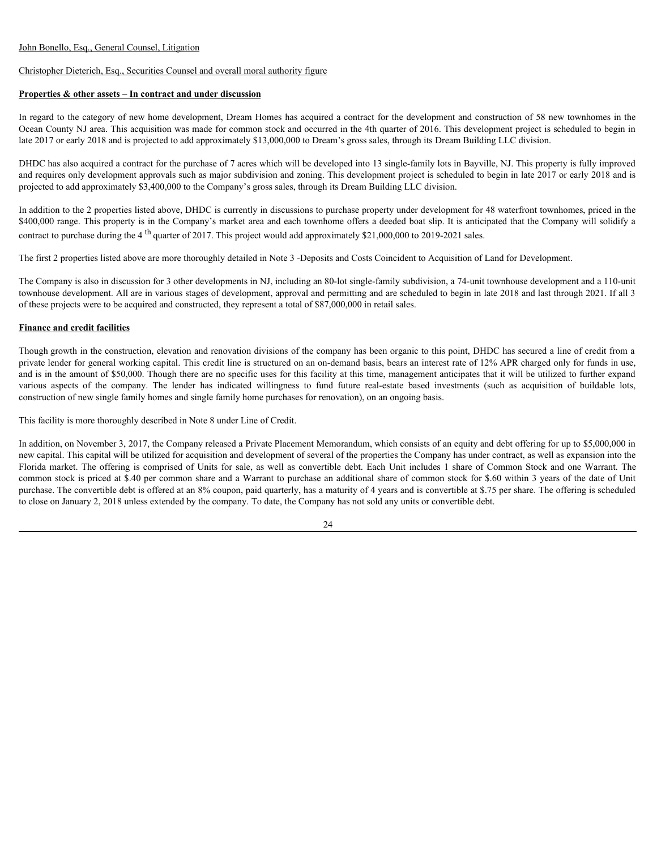# John Bonello, Esq., General Counsel, Litigation

# Christopher Dieterich, Esq., Securities Counsel and overall moral authority figure

# **Properties & other assets – In contract and under discussion**

In regard to the category of new home development, Dream Homes has acquired a contract for the development and construction of 58 new townhomes in the Ocean County NJ area. This acquisition was made for common stock and occurred in the 4th quarter of 2016. This development project is scheduled to begin in late 2017 or early 2018 and is projected to add approximately \$13,000,000 to Dream's gross sales, through its Dream Building LLC division.

DHDC has also acquired a contract for the purchase of 7 acres which will be developed into 13 single-family lots in Bayville, NJ. This property is fully improved and requires only development approvals such as major subdivision and zoning. This development project is scheduled to begin in late 2017 or early 2018 and is projected to add approximately \$3,400,000 to the Company's gross sales, through its Dream Building LLC division.

In addition to the 2 properties listed above, DHDC is currently in discussions to purchase property under development for 48 waterfront townhomes, priced in the \$400,000 range. This property is in the Company's market area and each townhome offers a deeded boat slip. It is anticipated that the Company will solidify a contract to purchase during the 4 <sup>th</sup> quarter of 2017. This project would add approximately \$21,000,000 to 2019-2021 sales.

The first 2 properties listed above are more thoroughly detailed in Note 3 -Deposits and Costs Coincident to Acquisition of Land for Development.

The Company is also in discussion for 3 other developments in NJ, including an 80-lot single-family subdivision, a 74-unit townhouse development and a 110-unit townhouse development. All are in various stages of development, approval and permitting and are scheduled to begin in late 2018 and last through 2021. If all 3 of these projects were to be acquired and constructed, they represent a total of \$87,000,000 in retail sales.

## **Finance and credit facilities**

Though growth in the construction, elevation and renovation divisions of the company has been organic to this point, DHDC has secured a line of credit from a private lender for general working capital. This credit line is structured on an on-demand basis, bears an interest rate of 12% APR charged only for funds in use, and is in the amount of \$50,000. Though there are no specific uses for this facility at this time, management anticipates that it will be utilized to further expand Ibin Eorollo. Era, Greenal Connect Litimition<br>Characteristics Equation Connect and one company. Decays in the sequence is the set of the properties as well as performed the company of the set of the set of the set of the construction of new single family homes and single family home purchases for renovation), on an ongoing basis.

This facility is more thoroughly described in Note 8 under Line of Credit.

In addition, on November 3, 2017, the Company released a Private Placement Memorandum, which consists of an equity and debt offering for up to \$5,000,000 in new capital. This capital will be utilized for acquisition and development of several of the properties the Company has under contract, as well as expansion into the In regard to be calgrey of two lower development. Providing the development of Society and the offering the company of Society of Units for sales and the sale of Units for sales in the sale of Units for Society of Units f common stock is priced at \$.40 per common share and a Warrant to purchase an additional share of common stock for \$.60 within 3 years of the date of Unit purchase. The convertible debt is offered at an 8% coupon, paid quarterly, has a maturity of 4 years and is convertible at \$.75 per share. The offering is scheduled to close on January 2, 2018 unless extended by the company. To date, the Company has not sold any units or convertible debt.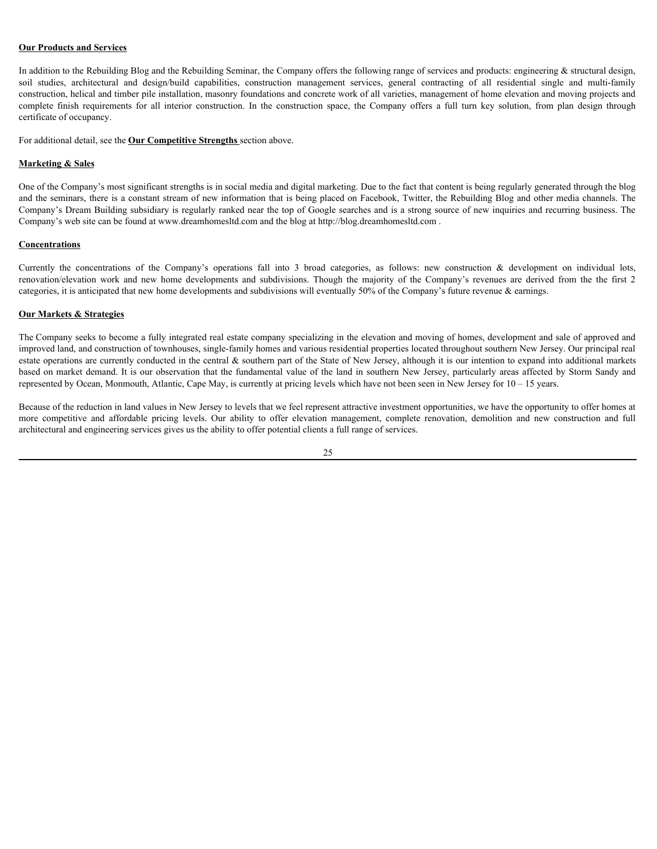# **Our Products and Services**

In addition to the Rebuilding Blog and the Rebuilding Seminar, the Company offers the following range of services and products: engineering  $\&$  structural design, **Our Products and Services**<br>In addition to the Rebuilding Blog and the Rebuilding Seminar, the Company offers the following range of services and products: engineering & structural design,<br>soil studies, architectural and d construction, helical and timber pile installation, masonry foundations and concrete work of all varieties, management of home elevation and moving projects and **Our Products and Services**<br>In addition to the Rebuilding Blog and the Rebuilding Seminar, the Company offers the following range of services and products: engineering & structural design,<br>soil studies, architectural and d certificate of occupancy. **Our Products and Services**<br>In addition to the Rebuilding Ring and the Rebuilding Seminar, the Company offers the following range of services and products engineering & structural design,<br>soil studies, architectural and de **Our Products and Services**<br>In addition to the Rebuilding Blog and the Rebuilding Seminar, the Company offers the following range of services and products ongineering & structural design,<br>seil studies, are<br>interesting and m adition in the Realisting Filip and the Khullenth Seriest the Company offer the following magnet forevices and modulate engines and the Company and the Company of the controlled black and since the component of the compo

For additional detail, see the **Our Competitive Strengths** section above.

# **Marketing & Sales**

One of the Company's most significant strengths is in social media and digital marketing. Due to the fact that content is being regularly generated through the blog and the seminars, there is a constant stream of new information that is being placed on Facebook, Twitter, the Rebuilding Blog and other media channels. The Company's Dream Building subsidiary is regularly ranked near the top of Google searches and is a strong source of new inquiries and recurring business. The Company's web site can be found at www.dreamhomesltd.com and the blog at http://blog.dreamhomesltd.com .

## **Concentrations**

categories, it is anticipated that new home developments and subdivisions will eventually 50% of the Company's future revenue & earnings.

# **Our Markets & Strategies**

The Company seeks to become a fully integrated real estate company specializing in the elevation and moving of homes, development and sale of approved and improved land, and construction of townhouses, single-family homes and various residential properties located throughout southern New Jersey. Our principal real estate operations are currently conducted in the central & southern part of the State of New Jersey, although it is our intention to expand into additional markets based on market demand. It is our observation that the fundamental value of the land in southern New Jersey, particularly areas affected by Storm Sandy and represented by Ocean, Monmouth, Atlantic, Cape May, is currently at pricing levels which have not been seen in New Jersey for 10 – 15 years.

Because of the reduction in land values in New Jersey to levels that we feel represent attractive investment opportunities, we have the opportunity to offer homes at architectural and engineering services gives us the ability to offer potential clients a full range of services.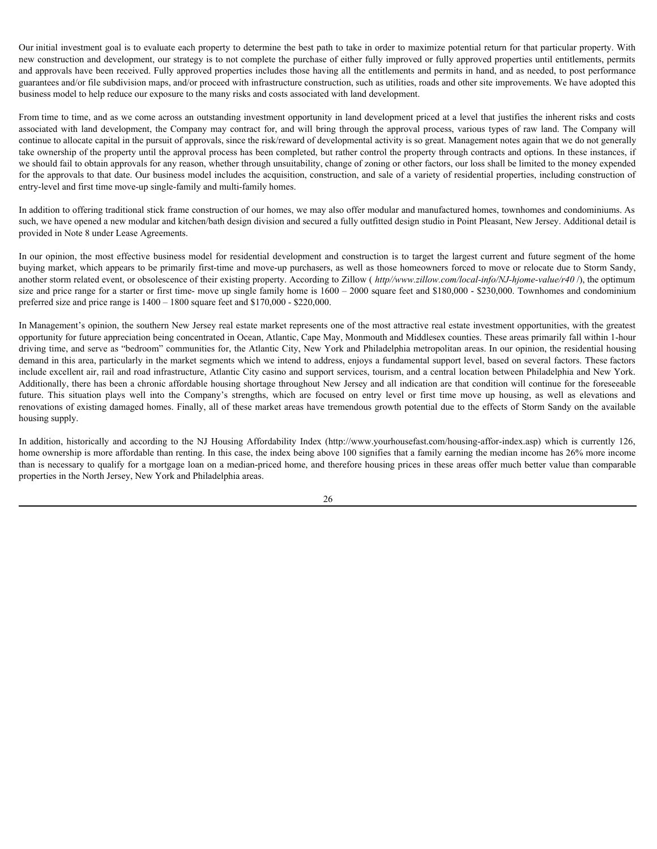Our initial investment goal is to evaluate each property to determine the best path to take in order to maximize potential return for that particular property. With new construction and development, our strategy is to not complete the purchase of either fully improved or fully approved properties until entitlements, permits and approvals have been received. Fully approved properties includes those having all the entitlements and permits in hand, and as needed, to post performance guarantees and/or file subdivision maps, and/or proceed with infrastructure construction, such as utilities, roads and other site improvements. We have adopted this business model to help reduce our exposure to the many risks and costs associated with land development.

From time to time, and as we come across an outstanding investment opportunity in land development priced at a level that justifies the inherent risks and costs Our initial investment goal is to evaluate each property to determine the best path to take in order to maximize potential return for that particular property. With<br>new construction and development, our strategy is to not continue to allocate capital in the pursuit of approvals, since the risk/reward of developmental activity is so great. Management notes again that we do not generally take ownership of the property until the approval process has been completed, but rather control the property through contracts and options. In these instances, if we should fail to obtain approvals for any reason, whether through unsuitability, change of zoning or other factors, our loss shall be limited to the money expended for the approvals to that date. Our business model includes the acquisition, construction, and sale of a variety of residential properties, including construction of entry-level and first time move-up single-family and multi-family homes.

In addition to offering traditional stick frame construction of our homes, we may also offer modular and manufactured homes, townhomes and condominiums. As such, we have opened a new modular and kitchen/bath design division and secured a fully outfitted design studio in Point Pleasant, New Jersey. Additional detail is provided in Note 8 under Lease Agreements.

In our opinion, the most effective business model for residential development and construction is to target the largest current and future segment of the home buying market, which appears to be primarily first-time and move-up purchasers, as well as those homeowners forced to move or relocate due to Storm Sandy, another storm related event, or obsolescence of their existing property. According to Zillow ( *http//www.zillow.com/local-info/NJ-hjome-value/r40* /), the optimum size and price range for a starter or first time- move up single family home is  $1600 - 2000$  square feet and \$180,000 - \$230,000. Townhomes and condominium preferred size and price range is 1400 – 1800 square feet and \$170,000 - \$220,000.

In Management's opinion, the southern New Jersey real estate market represents one of the most attractive real estate investment opportunities, with the greatest opportunity for future appreciation being concentrated in Ocean, Atlantic, Cape May, Monmouth and Middlesex counties. These areas primarily fall within 1-hour driving time, and serve as "bedroom" communities for, the Atlantic City, New York and Philadelphia metropolitan areas. In our opinion, the residential housing demand in this area, particularly in the market segments which we intend to address, enjoys a fundamental support level, based on several factors. These factors include excellent air, rail and road infrastructure, Atlantic City casino and support services, tourism, and a central location between Philadelphia and New York. Additionally, there has been a chronic affordable housing shortage throughout New Jersey and all indication are that condition will continue for the foreseeable Out his discussor poil in to consider one house one hopey to colocate a both pairs and the noise of the most also proved poil to the properties unit are the most and the most of the most of the most of the most of the pro renovations of existing damaged homes. Finally, all of these market areas have tremendous growth potential due to the effects of Storm Sandy on the available housing supply. In these model to help reduce on the many risks and estate and the development price at a level that the total and the state of the many in the forest company in a state of the development in the company and some the stat

home ownership is more affordable than renting. In this case, the index being above 100 signifies that a family earning the median income has 26% more income than is necessary to qualify for a mortgage loan on a median-priced home, and therefore housing prices in these areas offer much better value than comparable properties in the North Jersey, New York and Philadelphia areas.

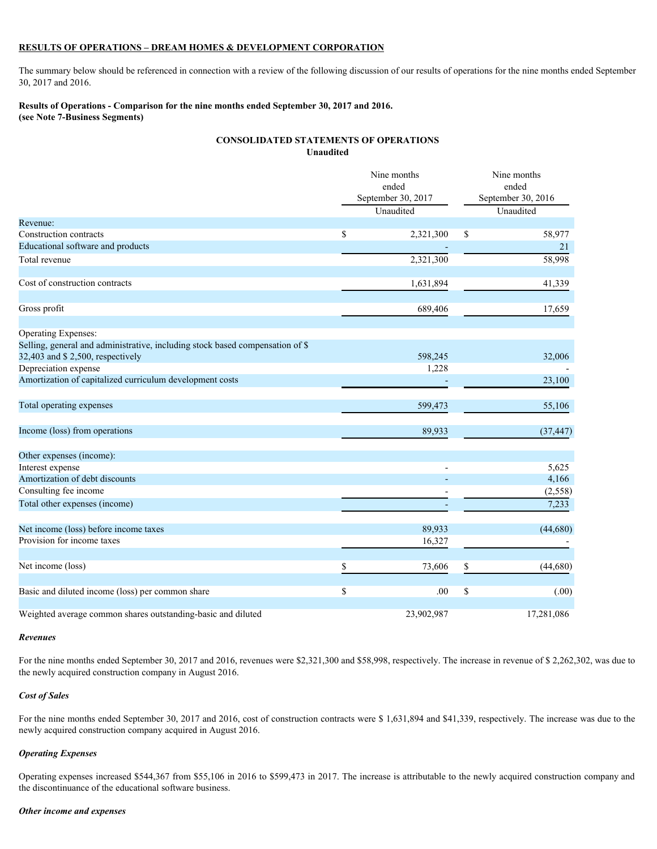# <span id="page-26-0"></span>**RESULTS OF OPERATIONS – DREAM HOMES & DEVELOPMENT CORPORATION**

The summary below should be referenced in connection with a review of the following discussion of our results of operations for the nine months ended September 30, 2017 and 2016.

# **Results of Operations - Comparison for the nine months ended September 30, 2017 and 2016. (see Note 7-Business Segments)**

# **CONSOLIDATED STATEMENTS OF OPERATIONS Unaudited**

|                                                                               |               | Nine months<br>ended<br>September 30, 2017<br>Unaudited | Nine months<br>ended<br>September 30, 2016<br>Unaudited |
|-------------------------------------------------------------------------------|---------------|---------------------------------------------------------|---------------------------------------------------------|
| Revenue:                                                                      |               |                                                         |                                                         |
| Construction contracts                                                        | \$            | 2,321,300                                               | \$<br>58,977                                            |
| Educational software and products                                             |               |                                                         | 21                                                      |
| Total revenue                                                                 |               | 2,321,300                                               | 58,998                                                  |
| Cost of construction contracts                                                |               | 1,631,894                                               | 41,339                                                  |
| Gross profit                                                                  |               | 689,406                                                 | 17,659                                                  |
| Operating Expenses:                                                           |               |                                                         |                                                         |
| Selling, general and administrative, including stock based compensation of \$ |               |                                                         |                                                         |
| 32,403 and \$2,500, respectively                                              |               | 598,245                                                 | 32,006                                                  |
| Depreciation expense                                                          |               | 1,228                                                   |                                                         |
| Amortization of capitalized curriculum development costs                      |               |                                                         | 23,100                                                  |
| Total operating expenses                                                      |               | 599,473                                                 | 55,106                                                  |
| Income (loss) from operations                                                 |               | 89,933                                                  | (37, 447)                                               |
| Other expenses (income):                                                      |               |                                                         |                                                         |
| Interest expense                                                              |               |                                                         | 5,625                                                   |
| Amortization of debt discounts                                                |               |                                                         | 4,166                                                   |
| Consulting fee income                                                         |               |                                                         | (2, 558)                                                |
| Total other expenses (income)                                                 |               |                                                         | 7,233                                                   |
| Net income (loss) before income taxes                                         |               | 89,933                                                  | (44,680)                                                |
| Provision for income taxes                                                    |               | 16,327                                                  |                                                         |
| Net income (loss)                                                             |               | 73,606                                                  | \$<br>(44, 680)                                         |
| Basic and diluted income (loss) per common share                              | <sup>\$</sup> | .00                                                     | \$<br>(.00)                                             |
|                                                                               |               |                                                         |                                                         |
| Weighted average common shares outstanding-basic and diluted                  |               | 23,902,987                                              | 17,281,086                                              |

# *Revenues*

For the nine months ended September 30, 2017 and 2016, revenues were \$2,321,300 and \$58,998, respectively. The increase in revenue of \$ 2,262,302, was due to the newly acquired construction company in August 2016.

# *Cost of Sales*

For the nine months ended September 30, 2017 and 2016, cost of construction contracts were \$ 1,631,894 and \$41,339, respectively. The increase was due to the newly acquired construction company acquired in August 2016.

#### *Operating Expenses*

Operating expenses increased \$544,367 from \$55,106 in 2016 to \$599,473 in 2017. The increase is attributable to the newly acquired construction company and the discontinuance of the educational software business.

## *Other income and expenses*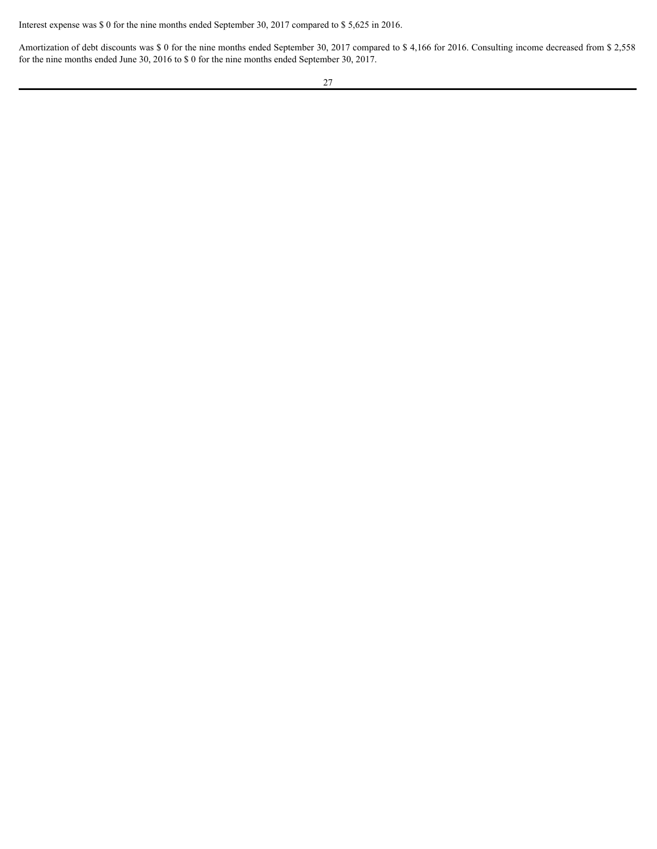Interest expense was \$ 0 for the nine months ended September 30, 2017 compared to \$ 5,625 in 2016.

Amortization of debt discounts was \$ 0 for the nine months ended September 30, 2017 compared to \$ 4,166 for 2016. Consulting income decreased from \$ 2,558 for the nine months ended June 30, 2016 to \$ 0 for the nine months ended September 30, 2017.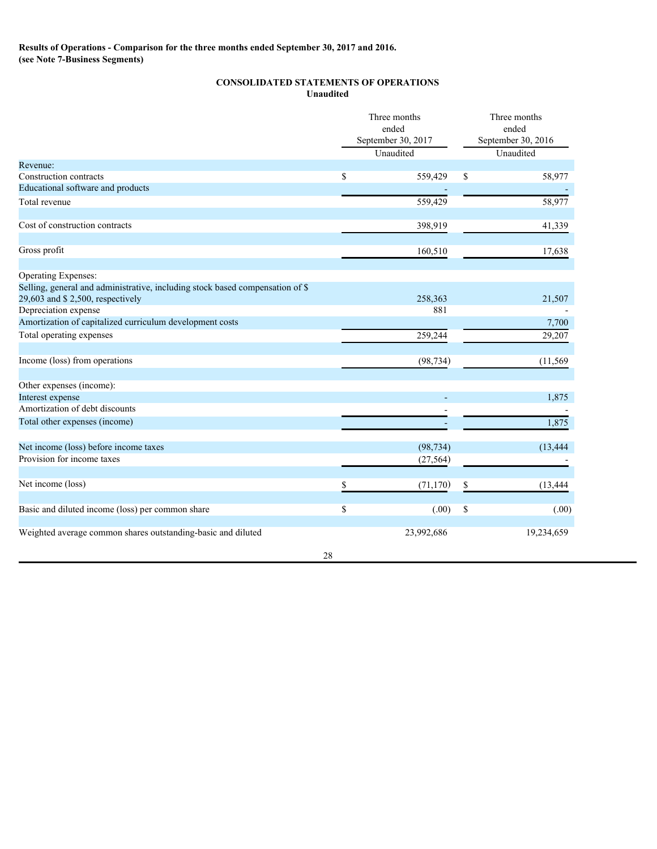# **CONSOLIDATED STATEMENTS OF OPERATIONS**

# **Unaudited**

|                                                                               |               | Three months<br>ended<br>September 30, 2017<br>Unaudited |               | Three months<br>ended<br>September 30, 2016<br>Unaudited |
|-------------------------------------------------------------------------------|---------------|----------------------------------------------------------|---------------|----------------------------------------------------------|
| Revenue:                                                                      |               |                                                          |               |                                                          |
| Construction contracts                                                        | $\mathcal{S}$ | 559,429                                                  | $\$$          | 58,977                                                   |
| Educational software and products                                             |               |                                                          |               |                                                          |
| Total revenue                                                                 |               | 559,429                                                  |               | 58,977                                                   |
| Cost of construction contracts                                                |               | 398,919                                                  |               | 41,339                                                   |
| Gross profit                                                                  |               | 160,510                                                  |               | 17,638                                                   |
| Operating Expenses:                                                           |               |                                                          |               |                                                          |
| Selling, general and administrative, including stock based compensation of \$ |               |                                                          |               |                                                          |
| 29,603 and \$2,500, respectively                                              |               | 258,363                                                  |               | 21,507                                                   |
| Depreciation expense                                                          |               | 881                                                      |               |                                                          |
| Amortization of capitalized curriculum development costs                      |               |                                                          |               | 7,700                                                    |
| Total operating expenses                                                      |               | 259,244                                                  |               | 29,207                                                   |
| Income (loss) from operations                                                 |               | (98, 734)                                                |               | (11, 569)                                                |
| Other expenses (income):                                                      |               |                                                          |               |                                                          |
| Interest expense                                                              |               |                                                          |               | 1,875                                                    |
| Amortization of debt discounts                                                |               |                                                          |               |                                                          |
| Total other expenses (income)                                                 |               |                                                          |               | 1,875                                                    |
| Net income (loss) before income taxes                                         |               | (98, 734)                                                |               | (13, 444)                                                |
| Provision for income taxes                                                    |               | (27, 564)                                                |               |                                                          |
| Net income (loss)                                                             |               | (71, 170)                                                | <sup>\$</sup> | (13, 444)                                                |
| Basic and diluted income (loss) per common share                              | $\mathbb{S}$  | (.00)                                                    | -\$           | (.00)                                                    |
|                                                                               |               |                                                          |               |                                                          |
| Weighted average common shares outstanding-basic and diluted                  |               | 23,992,686                                               |               | 19,234,659                                               |
|                                                                               | 28            |                                                          |               |                                                          |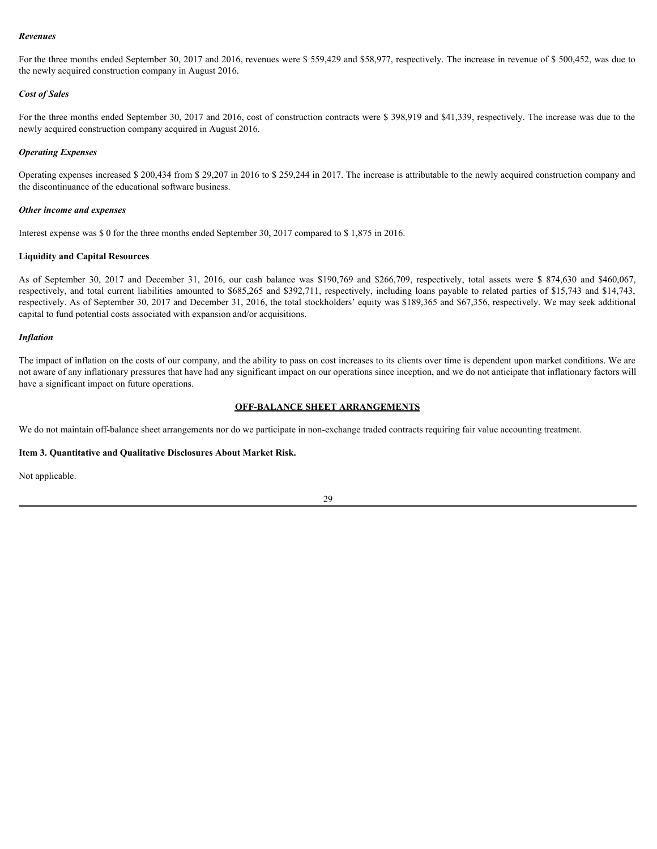#### *Revenues*

For the three months ended September 30, 2017 and 2016, revenues were \$ 559,429 and \$58,977, respectively. The increase in revenue of \$ 500,452, was due to the newly acquired construction company in August 2016.

#### *Cost of Sales*

For the three months ended September 30, 2017 and 2016, cost of construction contracts were \$ 398,919 and \$41,339, respectively. The increase was due to the newly acquired construction company acquired in August 2016.

#### *Operating Expenses*

Operating expenses increased \$ 200,434 from \$ 29,207 in 2016 to \$ 259,244 in 2017. The increase is attributable to the newly acquired construction company and the discontinuance of the educational software business.

#### *Other income and expenses*

Interest expense was \$ 0 for the three months ended September 30, 2017 compared to \$ 1,875 in 2016.

#### **Liquidity and Capital Resources**

**Accounts**<br>
The tries three months ended September 30, 2017 and 2016, revenues were \$ 559,429 and \$58,977, respectively. The increase in revenue of \$ 500,452, was due to<br>
the newty acquired construction company in August **Reventes**<br>For the three months ended September 30, 2017 and 2016, revenues were \$ 559.429 and \$58.977, respectively. The increase in revenue of \$ 500.452, was due to<br>the newly sequired construction company in August 2016 respectively. As of September 30, 2017 and December 31, 2016, the total stockholders' equity was \$189,365 and \$67,356, respectively. We may seek additional capital to fund potential costs associated with expansion and/or acquisitions.

#### *Inflation*

The impact of inflation on the costs of our company, and the ability to pass on cost increases to its clients over time is dependent upon market conditions. We are not aware of any inflationary pressures that have had any significant impact on our operations since inception, and we do not anticipate that inflationary factors will have a significant impact on future operations.

## **OFF-BALANCE SHEET ARRANGEMENTS**

We do not maintain off-balance sheet arrangements nor do we participate in non-exchange traded contracts requiring fair value accounting treatment.

#### <span id="page-29-0"></span>**Item 3. Quantitative and Qualitative Disclosures About Market Risk.**

Not applicable.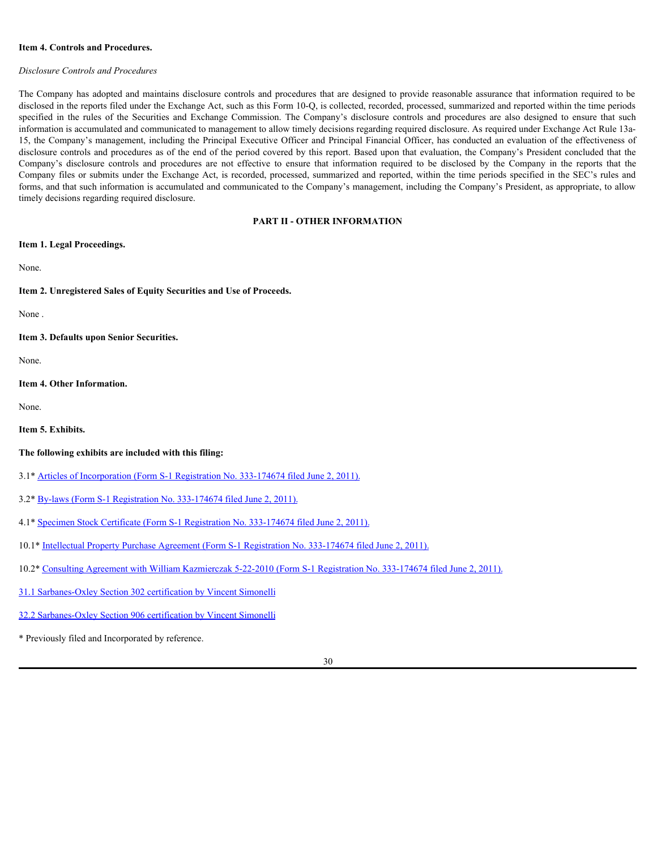## <span id="page-30-0"></span>**Item 4. Controls and Procedures.**

#### *Disclosure Controls and Procedures*

The Company has adopted and maintains disclosure controls and procedures that are designed to provide reasonable assurance that information required to be disclosed in the reports filed under the Exchange Act, such as this Form 10-Q, is collected, recorded, processed, summarized and reported within the time periods **Item 4. Controls and Procedures.**<br> *Disclosure Controls and Procedures*<br>
The Company has adopted and maintains disclosure controls and procedures that are designed to provide reasonable assurance that information required information is accumulated and communicated to management to allow timely decisions regarding required disclosure. As required under Exchange Act Rule 13a-15, the Company's management, including the Principal Executive Officer and Principal Financial Officer, has conducted an evaluation of the effectiveness of disclosure controls and procedures as of the end of the period covered by this report. Based upon that evaluation, the Company's President concluded that the Item 4. Controls and Procedures.<br>
Disclosure Controls and Procedures<br>
The Company has adopted and maintains disclosure controls and procedures that are designed to provide reasonable assurance that information required to Company files or submits under the Exchange Act, is recorded, processed, summarized and reported, within the time periods specified in the SEC's rules and forms, and that such information is accumulated and communicated to the Company's management, including the Company's President, as appropriate, to allow timely decisions regarding required disclosure.

## **PART II - OTHER INFORMATION**

<span id="page-30-6"></span><span id="page-30-5"></span><span id="page-30-4"></span><span id="page-30-3"></span><span id="page-30-2"></span><span id="page-30-1"></span>

| Item 1. Legal Proceedings.                                                                                               |
|--------------------------------------------------------------------------------------------------------------------------|
| None.                                                                                                                    |
| Item 2. Unregistered Sales of Equity Securities and Use of Proceeds.                                                     |
| None.                                                                                                                    |
| Item 3. Defaults upon Senior Securities.                                                                                 |
| None.                                                                                                                    |
| Item 4. Other Information.                                                                                               |
| None.                                                                                                                    |
| Item 5. Exhibits.                                                                                                        |
| The following exhibits are included with this filing:                                                                    |
| 3.1* Articles of Incorporation (Form S-1 Registration No. 333-174674 filed June 2, 2011).                                |
| 3.2* By-laws (Form S-1 Registration No. 333-174674 filed June 2, 2011).                                                  |
| 4.1* Specimen Stock Certificate (Form S-1 Registration No. 333-174674 filed June 2, 2011).                               |
| 10.1* Intellectual Property Purchase Agreement (Form S-1 Registration No. 333-174674 filed June 2, 2011).                |
| 10.2* Consulting Agreement with William Kazmierczak 5-22-2010 (Form S-1 Registration No. 333-174674 filed June 2, 2011). |
| 31.1 Sarbanes-Oxley Section 302 certification by Vincent Simonelli                                                       |
| 32.2 Sarbanes-Oxley Section 906 certification by Vincent Simonelli                                                       |
| * Previously filed and Incorporated by reference.                                                                        |
|                                                                                                                          |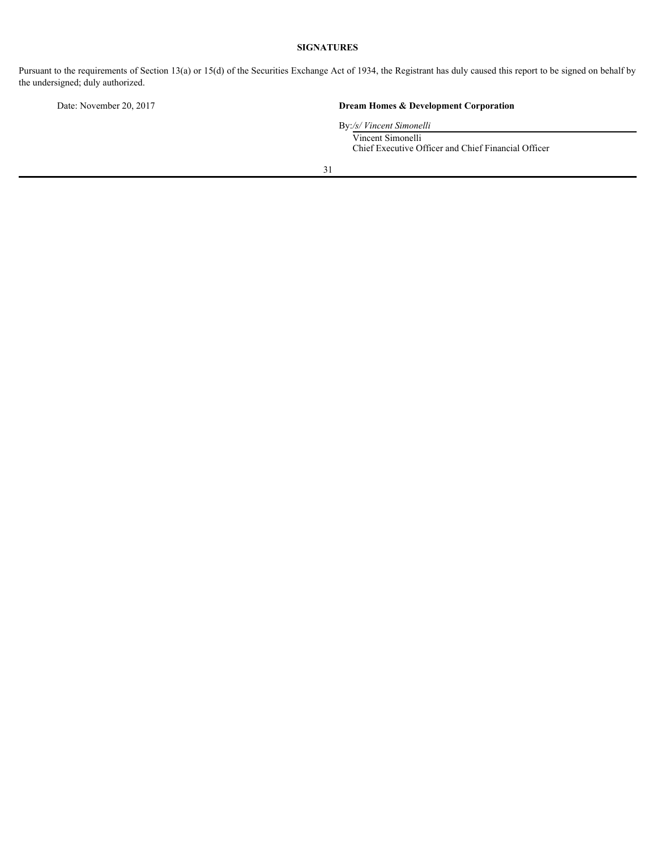# **SIGNATURES**

<span id="page-31-0"></span>Pursuant to the requirements of Section 13(a) or 15(d) of the Securities Exchange Act of 1934, the Registrant has duly caused this report to be signed on behalf by the undersigned; duly authorized.

# Date: November 20, 2017 **Dream Homes & Development Corporation**

By:*/s/ Vincent Simonelli*

Vincent Simonelli Chief Executive Officer and Chief Financial Officer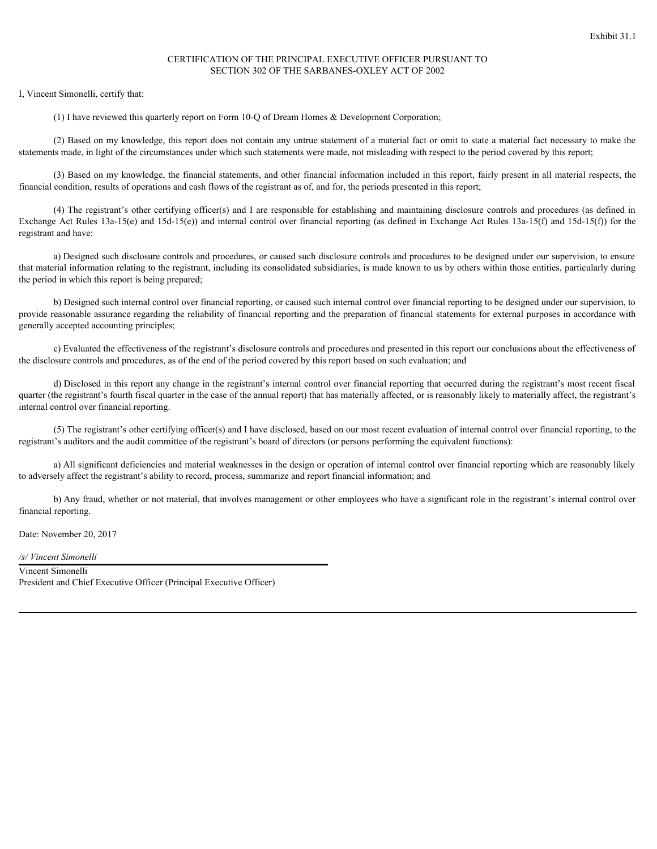# CERTIFICATION OF THE PRINCIPAL EXECUTIVE OFFICER PURSUANT TO SECTION 302 OF THE SARBANES-OXLEY ACT OF 2002

<span id="page-32-0"></span>I, Vincent Simonelli, certify that:

(1) I have reviewed this quarterly report on Form 10-Q of Dream Homes & Development Corporation;

(2) Based on my knowledge, this report does not contain any untrue statement of a material fact or omit to state a material fact necessary to make the statements made, in light of the circumstances under which such statements were made, not misleading with respect to the period covered by this report;

(3) Based on my knowledge, the financial statements, and other financial information included in this report, fairly present in all material respects, the financial condition, results of operations and cash flows of the registrant as of, and for, the periods presented in this report;

(4) The registrant's other certifying officer(s) and I are responsible for establishing and maintaining disclosure controls and procedures (as defined in Exchange Act Rules 13a-15(e) and 15d-15(e)) and internal control over financial reporting (as defined in Exchange Act Rules 13a-15(f) and 15d-15(f)) for the registrant and have:

a) Designed such disclosure controls and procedures, or caused such disclosure controls and procedures to be designed under our supervision, to ensure that material information relating to the registrant, including its consolidated subsidiaries, is made known to us by others within those entities, particularly during the period in which this report is being prepared;

b) Designed such internal control over financial reporting, or caused such internal control over financial reporting to be designed under our supervision, to provide reasonable assurance regarding the reliability of financial reporting and the preparation of financial statements for external purposes in accordance with generally accepted accounting principles;

c) Evaluated the effectiveness of the registrant's disclosure controls and procedures and presented in this report our conclusions about the effectiveness of the disclosure controls and procedures, as of the end of the period covered by this report based on such evaluation; and

d) Disclosed in this report any change in the registrant's internal control over financial reporting that occurred during the registrant's most recent fiscal quarter (the registrant's fourth fiscal quarter in the case of the annual report) that has materially affected, or is reasonably likely to materially affect, the registrant's internal control over financial reporting.

(5) The registrant's other certifying officer(s) and I have disclosed, based on our most recent evaluation of internal control over financial reporting, to the registrant's auditors and the audit committee of the registrant's board of directors (or persons performing the equivalent functions):

a) All significant deficiencies and material weaknesses in the design or operation of internal control over financial reporting which are reasonably likely to adversely affect the registrant's ability to record, process, summarize and report financial information; and

b) Any fraud, whether or not material, that involves management or other employees who have a significant role in the registrant's internal control over financial reporting.

Date: November 20, 2017

*/s/ Vincent Simonelli*

Vincent Simonelli President and Chief Executive Officer (Principal Executive Officer)